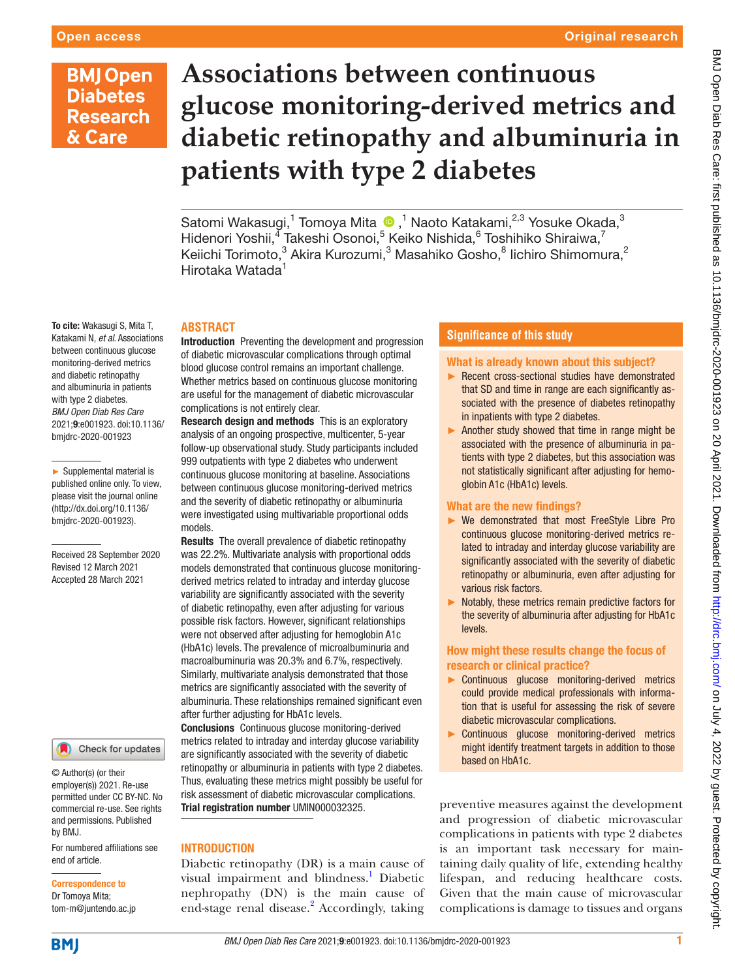## **BMJ Open Diabetes Research** & Care

To cite: Wakasugi S, Mita T, Katakami N, *et al*. Associations between continuous glucose monitoring-derived metrics and diabetic retinopathy and albuminuria in patients with type 2 diabetes. *BMJ Open Diab Res Care* 2021;9:e001923. doi:10.1136/ bmjdrc-2020-001923

► Supplemental material is published online only. To view, please visit the journal online (http://dx.doi.org/10.1136/ bmjdrc-2020-001923).

Received 28 September 2020 Revised 12 March 2021 Accepted 28 March 2021

# **Associations between continuous glucose monitoring-derived metrics and diabetic retinopathy and albuminuria in patients with type 2 diabetes**

Satomi Wakasugi,1 Tomoya Mita,1 Naoto Katakami,2,3 Yosuke Okada,3 Hidenori Yoshii,<sup>4</sup> Takeshi Osonoi,<sup>5</sup> Keiko Nishida,<sup>6</sup> Toshihiko Shiraiwa,<sup>7</sup> Keiichi Torimoto, $^3$  Akira Kurozumi, $^3$  Masahiko Gosho, $^8$  lichiro Shimomura, $^2$ Hirotaka Watada<sup>1</sup>

#### **ABSTRACT**

Introduction Preventing the development and progression of diabetic microvascular complications through optimal blood glucose control remains an important challenge. Whether metrics based on continuous glucose monitoring are useful for the management of diabetic microvascular complications is not entirely clear.

Research design and methods This is an exploratory analysis of an ongoing prospective, multicenter, 5-year follow-up observational study. Study participants included 999 outpatients with type 2 diabetes who underwent continuous glucose monitoring at baseline. Associations between continuous glucose monitoring-derived metrics and the severity of diabetic retinopathy or albuminuria were investigated using multivariable proportional odds models.

Results The overall prevalence of diabetic retinopathy was 22.2%. Multivariate analysis with proportional odds models demonstrated that continuous glucose monitoringderived metrics related to intraday and interday glucose variability are significantly associated with the severity of diabetic retinopathy, even after adjusting for various possible risk factors. However, significant relationships were not observed after adjusting for hemoglobin A1c (HbA1c) levels. The prevalence of microalbuminuria and macroalbuminuria was 20.3% and 6.7%, respectively. Similarly, multivariate analysis demonstrated that those metrics are significantly associated with the severity of albuminuria. These relationships remained significant even after further adjusting for HbA1c levels.

Conclusions Continuous glucose monitoring-derived metrics related to intraday and interday glucose variability are significantly associated with the severity of diabetic retinopathy or albuminuria in patients with type 2 diabetes. Thus, evaluating these metrics might possibly be useful for risk assessment of diabetic microvascular complications. Trial registration number UMIN000032325.

#### **INTRODUCTION**

Diabetic retinopathy (DR) is a main cause of visual impairment and blindness.<sup>[1](#page-11-0)</sup> Diabetic nephropathy (DN) is the main cause of end-stage renal disease.<sup>2</sup> Accordingly, taking

#### **Significance of this study**

#### What is already known about this subject?

- ► Recent cross-sectional studies have demonstrated that SD and time in range are each significantly associated with the presence of diabetes retinopathy in inpatients with type 2 diabetes.
- ► Another study showed that time in range might be associated with the presence of albuminuria in patients with type 2 diabetes, but this association was not statistically significant after adjusting for hemoglobin A1c (HbA1c) levels.

#### What are the new findings?

- ► We demonstrated that most FreeStyle Libre Pro continuous glucose monitoring-derived metrics related to intraday and interday glucose variability are significantly associated with the severity of diabetic retinopathy or albuminuria, even after adjusting for various risk factors.
- ► Notably, these metrics remain predictive factors for the severity of albuminuria after adjusting for HbA1c levels.

#### How might these results change the focus of research or clinical practice?

- ► Continuous glucose monitoring-derived metrics could provide medical professionals with information that is useful for assessing the risk of severe diabetic microvascular complications.
- ► Continuous glucose monitoring-derived metrics might identify treatment targets in addition to those based on HbA1c.

preventive measures against the development and progression of diabetic microvascular complications in patients with type 2 diabetes is an important task necessary for maintaining daily quality of life, extending healthy lifespan, and reducing healthcare costs. Given that the main cause of microvascular complications is damage to tissues and organs

#### end of article. Correspondence to

by BMJ.

Dr Tomoya Mita; tom-m@juntendo.ac.jp

For numbered affiliations see

Check for updates

© Author(s) (or their employer(s)) 2021. Re-use permitted under CC BY-NC. No commercial re-use. See rights and permissions. Published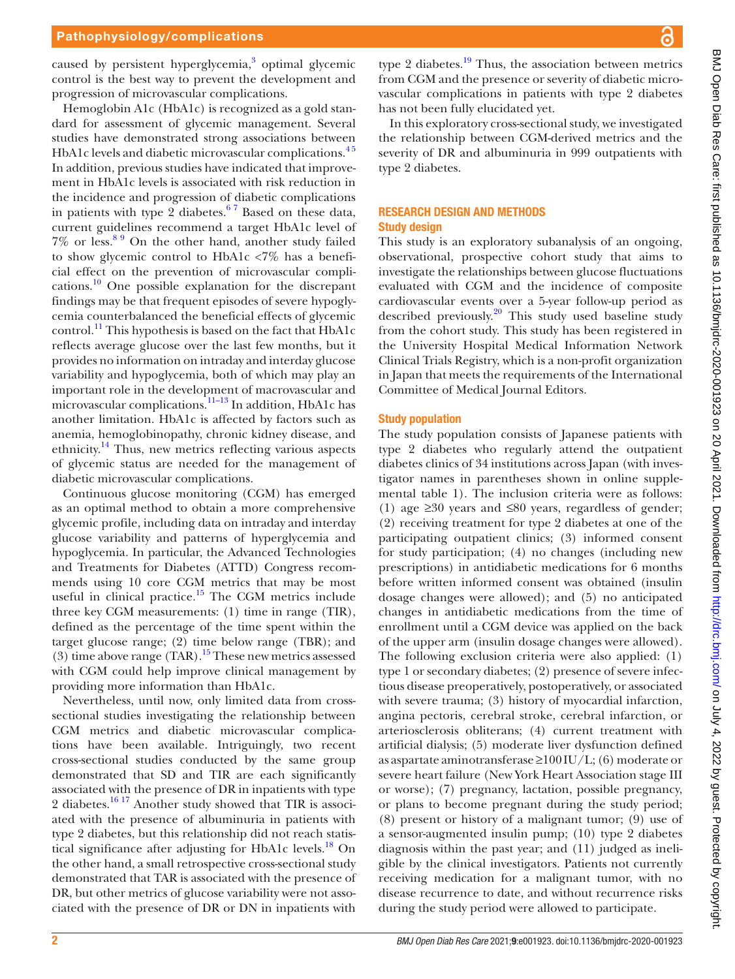caused by persistent hyperglycemia,<sup>[3](#page-11-2)</sup> optimal glycemic control is the best way to prevent the development and progression of microvascular complications.

Hemoglobin A1c (HbA1c) is recognized as a gold standard for assessment of glycemic management. Several studies have demonstrated strong associations between HbA1c levels and diabetic microvascular complications.<sup>45</sup> In addition, previous studies have indicated that improvement in HbA1c levels is associated with risk reduction in the incidence and progression of diabetic complications in patients with type 2 diabetes. $67$  Based on these data, current guidelines recommend a target HbA1c level of  $7\%$  or less.<sup>89</sup> On the other hand, another study failed to show glycemic control to HbA1c <7% has a beneficial effect on the prevention of microvascular complications.[10](#page-11-6) One possible explanation for the discrepant findings may be that frequent episodes of severe hypoglycemia counterbalanced the beneficial effects of glycemic control.<sup>11</sup> This hypothesis is based on the fact that HbA1c reflects average glucose over the last few months, but it provides no information on intraday and interday glucose variability and hypoglycemia, both of which may play an important role in the development of macrovascular and microvascular complications.<sup>11–13</sup> In addition, HbA1c has another limitation. HbA1c is affected by factors such as anemia, hemoglobinopathy, chronic kidney disease, and ethnicity.<sup>14</sup> Thus, new metrics reflecting various aspects of glycemic status are needed for the management of diabetic microvascular complications.

Continuous glucose monitoring (CGM) has emerged as an optimal method to obtain a more comprehensive glycemic profile, including data on intraday and interday glucose variability and patterns of hyperglycemia and hypoglycemia. In particular, the Advanced Technologies and Treatments for Diabetes (ATTD) Congress recommends using 10 core CGM metrics that may be most useful in clinical practice.<sup>15</sup> The CGM metrics include three key CGM measurements: (1) time in range (TIR), defined as the percentage of the time spent within the target glucose range; (2) time below range (TBR); and (3) time above range  $(TAR)$ .<sup>15</sup> These new metrics assessed with CGM could help improve clinical management by providing more information than HbA1c.

Nevertheless, until now, only limited data from crosssectional studies investigating the relationship between CGM metrics and diabetic microvascular complications have been available. Intriguingly, two recent cross-sectional studies conducted by the same group demonstrated that SD and TIR are each significantly associated with the presence of DR in inpatients with type 2 diabetes. $\frac{16}{17}$  Another study showed that TIR is associated with the presence of albuminuria in patients with type 2 diabetes, but this relationship did not reach statis-tical significance after adjusting for HbA1c levels.<sup>[18](#page-11-11)</sup> On the other hand, a small retrospective cross-sectional study demonstrated that TAR is associated with the presence of DR, but other metrics of glucose variability were not associated with the presence of DR or DN in inpatients with

type 2 diabetes. $\frac{19}{12}$  Thus, the association between metrics from CGM and the presence or severity of diabetic microvascular complications in patients with type 2 diabetes has not been fully elucidated yet.

In this exploratory cross-sectional study, we investigated the relationship between CGM-derived metrics and the severity of DR and albuminuria in 999 outpatients with type 2 diabetes.

#### RESEARCH DESIGN AND METHODS Study design

This study is an exploratory subanalysis of an ongoing, observational, prospective cohort study that aims to investigate the relationships between glucose fluctuations evaluated with CGM and the incidence of composite cardiovascular events over a 5-year follow-up period as described previously.<sup>20</sup> This study used baseline study from the cohort study. This study has been registered in the University Hospital Medical Information Network Clinical Trials Registry, which is a non-profit organization in Japan that meets the requirements of the International Committee of Medical Journal Editors.

#### Study population

The study population consists of Japanese patients with type 2 diabetes who regularly attend the outpatient diabetes clinics of 34 institutions across Japan (with investigator names in parentheses shown in [online supple](https://dx.doi.org/10.1136/bmjdrc-2020-001923)[mental table 1\)](https://dx.doi.org/10.1136/bmjdrc-2020-001923). The inclusion criteria were as follows: (1) age ≥30 years and ≤80 years, regardless of gender; (2) receiving treatment for type 2 diabetes at one of the participating outpatient clinics; (3) informed consent for study participation; (4) no changes (including new prescriptions) in antidiabetic medications for 6 months before written informed consent was obtained (insulin dosage changes were allowed); and (5) no anticipated changes in antidiabetic medications from the time of enrollment until a CGM device was applied on the back of the upper arm (insulin dosage changes were allowed). The following exclusion criteria were also applied: (1) type 1 or secondary diabetes; (2) presence of severe infectious disease preoperatively, postoperatively, or associated with severe trauma; (3) history of myocardial infarction, angina pectoris, cerebral stroke, cerebral infarction, or arteriosclerosis obliterans; (4) current treatment with artificial dialysis; (5) moderate liver dysfunction defined as aspartate aminotransferase  $\geq 100$  IU/L; (6) moderate or severe heart failure (New York Heart Association stage III or worse); (7) pregnancy, lactation, possible pregnancy, or plans to become pregnant during the study period; (8) present or history of a malignant tumor; (9) use of a sensor-augmented insulin pump; (10) type 2 diabetes diagnosis within the past year; and (11) judged as ineligible by the clinical investigators. Patients not currently receiving medication for a malignant tumor, with no disease recurrence to date, and without recurrence risks during the study period were allowed to participate.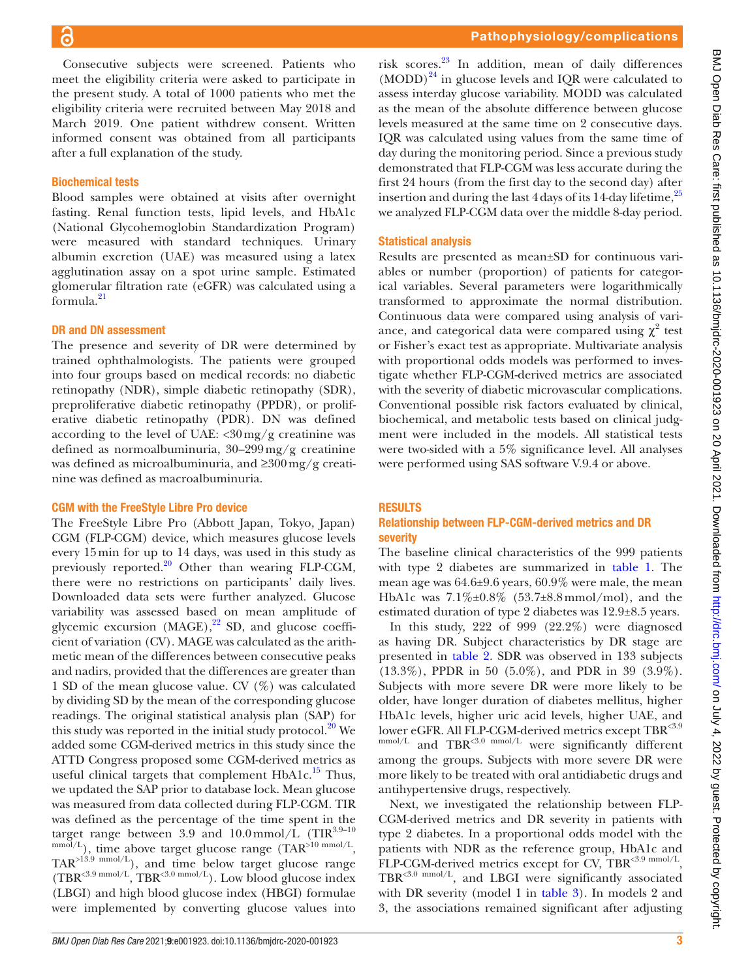Consecutive subjects were screened. Patients who meet the eligibility criteria were asked to participate in the present study. A total of 1000 patients who met the eligibility criteria were recruited between May 2018 and March 2019. One patient withdrew consent. Written informed consent was obtained from all participants after a full explanation of the study.

#### Biochemical tests

Blood samples were obtained at visits after overnight fasting. Renal function tests, lipid levels, and HbA1c (National Glycohemoglobin Standardization Program) were measured with standard techniques. Urinary albumin excretion (UAE) was measured using a latex agglutination assay on a spot urine sample. Estimated glomerular filtration rate (eGFR) was calculated using a formula[.21](#page-11-14)

#### DR and DN assessment

The presence and severity of DR were determined by trained ophthalmologists. The patients were grouped into four groups based on medical records: no diabetic retinopathy (NDR), simple diabetic retinopathy (SDR), preproliferative diabetic retinopathy (PPDR), or proliferative diabetic retinopathy (PDR). DN was defined according to the level of UAE:  $\langle 30 \text{ mg/g} \rangle$  creatinine was defined as normoalbuminuria, 30–299mg/g creatinine was defined as microalbuminuria, and ≥300mg/g creatinine was defined as macroalbuminuria.

#### CGM with the FreeStyle Libre Pro device

The FreeStyle Libre Pro (Abbott Japan, Tokyo, Japan) CGM (FLP-CGM) device, which measures glucose levels every 15min for up to 14 days, was used in this study as previously reported.<sup>[20](#page-11-13)</sup> Other than wearing FLP-CGM, there were no restrictions on participants' daily lives. Downloaded data sets were further analyzed. Glucose variability was assessed based on mean amplitude of glycemic excursion  $(MAGE)$ ,<sup>22</sup> SD, and glucose coefficient of variation (CV). MAGE was calculated as the arithmetic mean of the differences between consecutive peaks and nadirs, provided that the differences are greater than 1 SD of the mean glucose value. CV (%) was calculated by dividing SD by the mean of the corresponding glucose readings. The original statistical analysis plan (SAP) for this study was reported in the initial study protocol. $^{20}$  We added some CGM-derived metrics in this study since the ATTD Congress proposed some CGM-derived metrics as useful clinical targets that complement  $HbA1c$ .<sup>15</sup> Thus, we updated the SAP prior to database lock. Mean glucose was measured from data collected during FLP-CGM. TIR was defined as the percentage of the time spent in the target range between 3.9 and  $10.0 \text{mmol/L}$  (TIR<sup>3.9-10</sup>)  $\mu_{\text{mmol/L}}$ , time above target glucose range (TAR<sup>>10 mmol/L</sup>, TAR>13.9 mmol/L), and time below target glucose range  $(TBR^{<3.9 \text{ mmol/L}})$ , TBR<sup><3.0 mmol/L</sup>). Low blood glucose index (LBGI) and high blood glucose index (HBGI) formulae were implemented by converting glucose values into

risk scores.[23](#page-11-16) In addition, mean of daily differences  $(MODD)^{24}$  in glucose levels and IQR were calculated to assess interday glucose variability. MODD was calculated as the mean of the absolute difference between glucose levels measured at the same time on 2 consecutive days. IQR was calculated using values from the same time of day during the monitoring period. Since a previous study demonstrated that FLP-CGM was less accurate during the first 24 hours (from the first day to the second day) after insertion and during the last  $4$  days of its 14-day lifetime,  $25$ we analyzed FLP-CGM data over the middle 8-day period.

#### Statistical analysis

Results are presented as mean±SD for continuous variables or number (proportion) of patients for categorical variables. Several parameters were logarithmically transformed to approximate the normal distribution. Continuous data were compared using analysis of variance, and categorical data were compared using  $\chi^2$  test or Fisher's exact test as appropriate. Multivariate analysis with proportional odds models was performed to investigate whether FLP-CGM-derived metrics are associated with the severity of diabetic microvascular complications. Conventional possible risk factors evaluated by clinical, biochemical, and metabolic tests based on clinical judgment were included in the models. All statistical tests were two-sided with a 5% significance level. All analyses were performed using SAS software V.9.4 or above.

#### **RESULTS**

#### Relationship between FLP-CGM-derived metrics and DR severity

The baseline clinical characteristics of the 999 patients with type 2 diabetes are summarized in [table](#page-3-0) 1. The mean age was 64.6±9.6 years, 60.9% were male, the mean HbA1c was 7.1%±0.8% (53.7±8.8mmol/mol), and the estimated duration of type 2 diabetes was 12.9±8.5 years.

In this study, 222 of 999 (22.2%) were diagnosed as having DR. Subject characteristics by DR stage are presented in [table](#page-4-0) 2. SDR was observed in 133 subjects (13.3%), PPDR in 50 (5.0%), and PDR in 39 (3.9%). Subjects with more severe DR were more likely to be older, have longer duration of diabetes mellitus, higher HbA1c levels, higher uric acid levels, higher UAE, and lower eGFR. All FLP-CGM-derived metrics except TBR<3.9  $\frac{\text{mmol/L}}{\text{mol/L}}$  and TBR<sup><3.0</sup> mmol/L were significantly different among the groups. Subjects with more severe DR were more likely to be treated with oral antidiabetic drugs and antihypertensive drugs, respectively.

Next, we investigated the relationship between FLP-CGM-derived metrics and DR severity in patients with type 2 diabetes. In a proportional odds model with the patients with NDR as the reference group, HbA1c and FLP-CGM-derived metrics except for CV, TBR<3.9 mmol/L, TBR<3.0 mmol/L, and LBGI were significantly associated with DR severity (model 1 in [table](#page-6-0) 3). In models 2 and 3, the associations remained significant after adjusting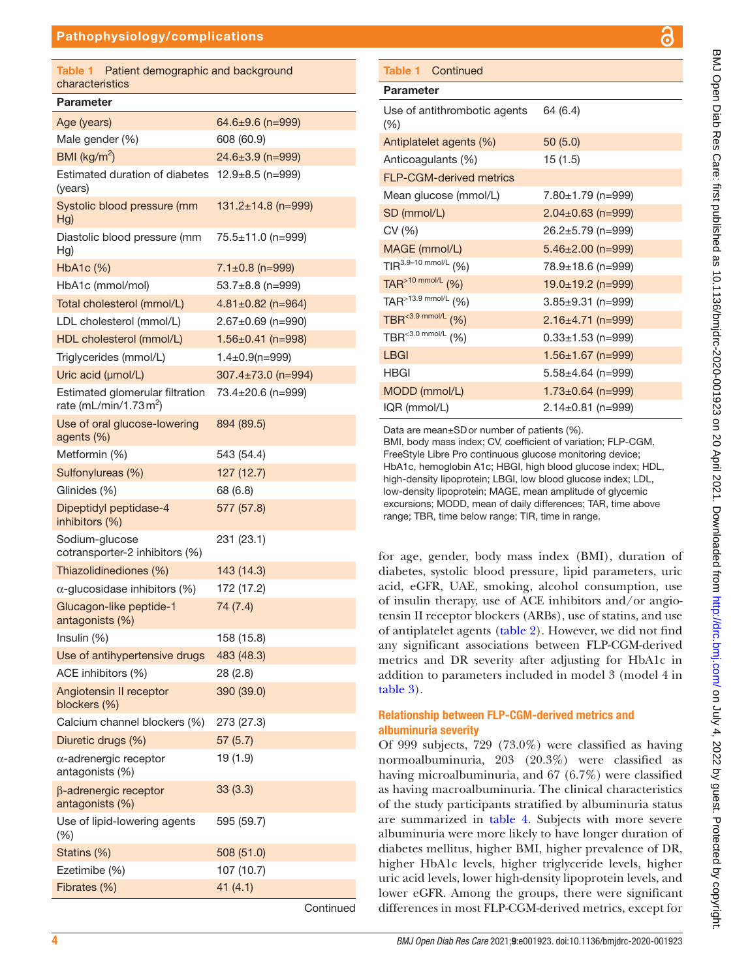<span id="page-3-0"></span>

| Table 1<br>Patient demographic and background<br>characteristics |                          |
|------------------------------------------------------------------|--------------------------|
| Parameter                                                        |                          |
| Age (years)                                                      | $64.6 \pm 9.6$ (n=999)   |
| Male gender (%)                                                  | 608 (60.9)               |
| BMI ( $\text{kg/m}^2$ )                                          | 24.6±3.9 (n=999)         |
| Estimated duration of diabetes $12.9 \pm 8.5$ (n=999)<br>(years) |                          |
| Systolic blood pressure (mm<br>Hg)                               | $131.2 \pm 14.8$ (n=999) |
| Diastolic blood pressure (mm<br>Hg)                              | 75.5±11.0 (n=999)        |
| HbA1c (%)                                                        | $7.1 \pm 0.8$ (n=999)    |
| HbA1c (mmol/mol)                                                 | 53.7±8.8 (n=999)         |
| Total cholesterol (mmol/L)                                       | $4.81 \pm 0.82$ (n=964)  |
| LDL cholesterol (mmol/L)                                         | $2.67 \pm 0.69$ (n=990)  |
| HDL cholesterol (mmol/L)                                         | $1.56 \pm 0.41$ (n=998)  |
| Triglycerides (mmol/L)                                           | $1.4 \pm 0.9$ (n=999)    |
| Uric acid (µmol/L)                                               | 307.4±73.0 (n=994)       |
| Estimated glomerular filtration<br>rate (mL/min/1.73 $m2$ )      | 73.4±20.6 (n=999)        |
| Use of oral glucose-lowering<br>agents (%)                       | 894 (89.5)               |
| Metformin (%)                                                    | 543 (54.4)               |
| Sulfonylureas (%)                                                | 127(12.7)                |
| Glinides (%)                                                     | 68 (6.8)                 |
| Dipeptidyl peptidase-4<br>inhibitors (%)                         | 577 (57.8)               |
| Sodium-glucose<br>cotransporter-2 inhibitors (%)                 | 231 (23.1)               |
| Thiazolidinediones (%)                                           | 143 (14.3)               |
| $\alpha$ -glucosidase inhibitors (%)                             | 172 (17.2)               |
| Glucagon-like peptide-1<br>antagonists (%)                       | 74 (7.4)                 |
| Insulin $(%)$                                                    | 158 (15.8)               |
| Use of antihypertensive drugs                                    | 483 (48.3)               |
| ACE inhibitors (%)                                               | 28 (2.8)                 |
| Angiotensin II receptor<br>blockers (%)                          | 390 (39.0)               |
| Calcium channel blockers (%)                                     | 273 (27.3)               |
| Diuretic drugs (%)                                               | 57 (5.7)                 |
| $\alpha$ -adrenergic receptor<br>antagonists (%)                 | 19 (1.9)                 |
| $\beta$ -adrenergic receptor<br>antagonists (%)                  | 33(3.3)                  |
| Use of lipid-lowering agents<br>$(\% )$                          | 595 (59.7)               |
| Statins (%)                                                      | 508 (51.0)               |
| Ezetimibe (%)                                                    | 107 (10.7)               |

Continued

#### Parameter Use of antithrombotic agents (%) 64 (6.4) Antiplatelet agents (%) 50 (5.0) Anticoagulants (%) 15 (1.5) FLP-CGM-derived metrics Mean glucose (mmol/L)  $7.80 \pm 1.79$  (n=999) SD (mmol/L) 2.04±0.63 (n=999)  $CV(%)$  26.2 $\pm$ 5.79 (n=999) MAGE (mmol/L) 5.46±2.00 (n=999) TIR<sup>3.9–10 mmol/L</sup> (%) 78.9±18.6 (n=999) TAR<sup>>10 mmol/L</sup> (%) 19.0±19.2 (n=999) TAR<sup>>13.9 mmol/L</sup> (%) 3.85±9.31 (n=999) TBR<sup><3.9 mmol/L</sup> (%) 2.16±4.71 (n=999) TBR<sup><3.0 mmol/L</sup> (%) 0.33±1.53 (n=999) LBGI 1.56±1.67 (n=999) HBGI 5.58±4.64 (n=999) MODD (mmol/L) 1.73±0.64 (n=999) IQR (mmol/L) 2.14±0.81 (n=999) Table 1 Continued

Data are mean±SDor number of patients (%).

BMI, body mass index; CV, coefficient of variation; FLP-CGM, FreeStyle Libre Pro continuous glucose monitoring device; HbA1c, hemoglobin A1c; HBGI, high blood glucose index; HDL, high-density lipoprotein; LBGI, low blood glucose index; LDL, low-density lipoprotein; MAGE, mean amplitude of glycemic excursions; MODD, mean of daily differences; TAR, time above range; TBR, time below range; TIR, time in range.

for age, gender, body mass index (BMI), duration of diabetes, systolic blood pressure, lipid parameters, uric acid, eGFR, UAE, smoking, alcohol consumption, use of insulin therapy, use of ACE inhibitors and/or angiotensin II receptor blockers (ARBs), use of statins, and use of antiplatelet agents [\(table](#page-4-0) 2). However, we did not find any significant associations between FLP-CGM-derived metrics and DR severity after adjusting for HbA1c in addition to parameters included in model 3 (model 4 in [table](#page-6-0) 3).

#### Relationship between FLP-CGM-derived metrics and albuminuria severity

Of 999 subjects, 729 (73.0%) were classified as having normoalbuminuria, 203 (20.3%) were classified as having microalbuminuria, and 67 (6.7%) were classified as having macroalbuminuria. The clinical characteristics of the study participants stratified by albuminuria status are summarized in [table](#page-7-0) 4. Subjects with more severe albuminuria were more likely to have longer duration of diabetes mellitus, higher BMI, higher prevalence of DR, higher HbA1c levels, higher triglyceride levels, higher uric acid levels, lower high-density lipoprotein levels, and lower eGFR. Among the groups, there were significant differences in most FLP-CGM-derived metrics, except for

Fibrates (%) 41 (4.1)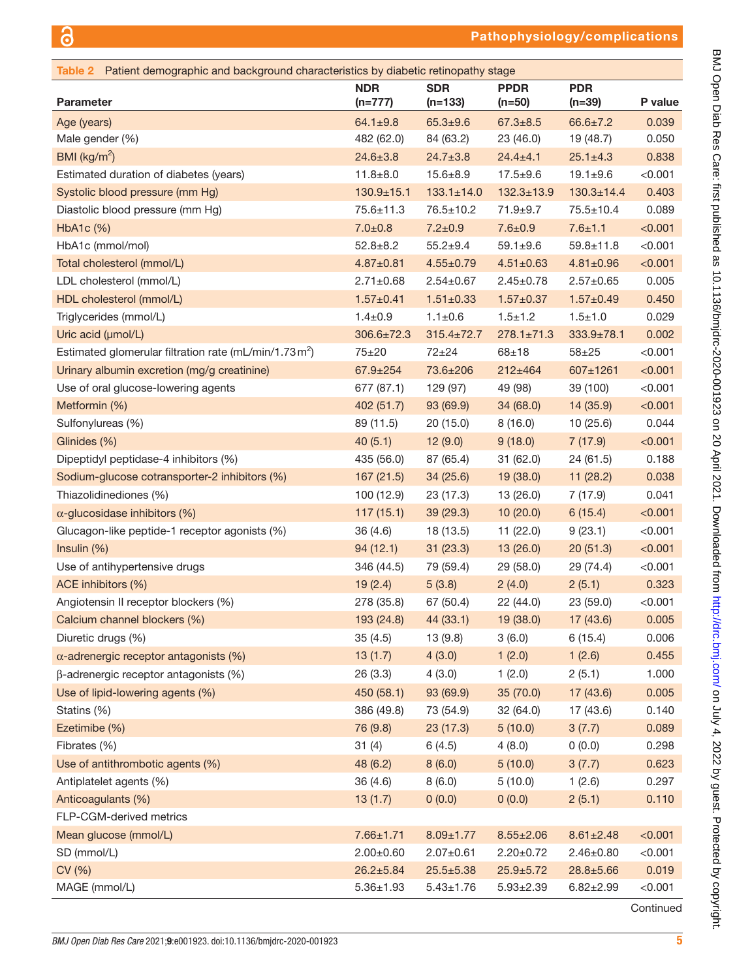<span id="page-4-0"></span>

| Table 2 Patient demographic and background characteristics by diabetic retinopathy stage |                         |                         |                         |                        |         |
|------------------------------------------------------------------------------------------|-------------------------|-------------------------|-------------------------|------------------------|---------|
| <b>Parameter</b>                                                                         | <b>NDR</b><br>$(n=777)$ | <b>SDR</b><br>$(n=133)$ | <b>PPDR</b><br>$(n=50)$ | <b>PDR</b><br>$(n=39)$ | P value |
| Age (years)                                                                              | $64.1 \pm 9.8$          | $65.3 + 9.6$            | $67.3 \pm 8.5$          | $66.6 \pm 7.2$         | 0.039   |
| Male gender (%)                                                                          | 482 (62.0)              | 84 (63.2)               | 23 (46.0)               | 19 (48.7)              | 0.050   |
| BMI ( $\text{kg/m}^2$ )                                                                  | $24.6 \pm 3.8$          | $24.7 \pm 3.8$          | $24.4 \pm 4.1$          | $25.1 \pm 4.3$         | 0.838   |
| Estimated duration of diabetes (years)                                                   | $11.8 + 8.0$            | $15.6 \pm 8.9$          | $17.5 + 9.6$            | $19.1 + 9.6$           | < 0.001 |
| Systolic blood pressure (mm Hg)                                                          | $130.9 + 15.1$          | $133.1 \pm 14.0$        | $132.3 \pm 13.9$        | $130.3 \pm 14.4$       | 0.403   |
| Diastolic blood pressure (mm Hg)                                                         | $75.6 \pm 11.3$         | $76.5 \pm 10.2$         | $71.9 + 9.7$            | $75.5 \pm 10.4$        | 0.089   |
| HbA1c (%)                                                                                | $7.0 \pm 0.8$           | $7.2 \pm 0.9$           | $7.6 \pm 0.9$           | $7.6 \pm 1.1$          | < 0.001 |
| HbA1c (mmol/mol)                                                                         | $52.8 \pm 8.2$          | $55.2 + 9.4$            | $59.1 \pm 9.6$          | $59.8 \pm 11.8$        | < 0.001 |
| Total cholesterol (mmol/L)                                                               | $4.87 \pm 0.81$         | $4.55 \pm 0.79$         | $4.51 \pm 0.63$         | $4.81 \pm 0.96$        | < 0.001 |
| LDL cholesterol (mmol/L)                                                                 | $2.71 \pm 0.68$         | $2.54 \pm 0.67$         | $2.45 \pm 0.78$         | $2.57 \pm 0.65$        | 0.005   |
| HDL cholesterol (mmol/L)                                                                 | $1.57 \pm 0.41$         | $1.51 \pm 0.33$         | $1.57 \pm 0.37$         | $1.57 \pm 0.49$        | 0.450   |
| Triglycerides (mmol/L)                                                                   | $1.4 \pm 0.9$           | $1.1 \pm 0.6$           | $1.5 + 1.2$             | $1.5 + 1.0$            | 0.029   |
| Uric acid (µmol/L)                                                                       | $306.6 \pm 72.3$        | $315.4 \pm 72.7$        | $278.1 \pm 71.3$        | $333.9 \pm 78.1$       | 0.002   |
| Estimated glomerular filtration rate (mL/min/1.73 m <sup>2</sup> )                       | $75 + 20$               | $72 + 24$               | $68 + 18$               | $58 + 25$              | < 0.001 |
| Urinary albumin excretion (mg/g creatinine)                                              | $67.9 \pm 254$          | 73.6±206                | $212 \pm 464$           | 607±1261               | < 0.001 |
| Use of oral glucose-lowering agents                                                      | 677 (87.1)              | 129 (97)                | 49 (98)                 | 39 (100)               | < 0.001 |
| Metformin (%)                                                                            | 402 (51.7)              | 93 (69.9)               | 34(68.0)                | 14 (35.9)              | < 0.001 |
| Sulfonylureas (%)                                                                        | 89 (11.5)               | 20(15.0)                | 8(16.0)                 | 10 (25.6)              | 0.044   |
| Glinides (%)                                                                             | 40(5.1)                 | 12(9.0)                 | 9(18.0)                 | 7(17.9)                | < 0.001 |
| Dipeptidyl peptidase-4 inhibitors (%)                                                    | 435 (56.0)              | 87 (65.4)               | 31(62.0)                | 24 (61.5)              | 0.188   |
| Sodium-glucose cotransporter-2 inhibitors (%)                                            | 167(21.5)               | 34(25.6)                | 19(38.0)                | 11(28.2)               | 0.038   |
| Thiazolidinediones (%)                                                                   | 100 (12.9)              | 23 (17.3)               | 13(26.0)                | 7 (17.9)               | 0.041   |
| $\alpha$ -glucosidase inhibitors (%)                                                     | 117(15.1)               | 39(29.3)                | 10(20.0)                | 6(15.4)                | < 0.001 |
| Glucagon-like peptide-1 receptor agonists (%)                                            | 36 (4.6)                | 18 (13.5)               | 11(22.0)                | 9(23.1)                | < 0.001 |
| Insulin (%)                                                                              | 94(12.1)                | 31(23.3)                | 13(26.0)                | 20(51.3)               | < 0.001 |
| Use of antihypertensive drugs                                                            | 346 (44.5)              | 79 (59.4)               | 29(58.0)                | 29 (74.4)              | < 0.001 |
| ACE inhibitors (%)                                                                       | 19(2.4)                 | 5(3.8)                  | 2(4.0)                  | 2(5.1)                 | 0.323   |
| Angiotensin II receptor blockers (%)                                                     | 278 (35.8)              | 67 (50.4)               | 22 (44.0)               | 23 (59.0)              | < 0.001 |
| Calcium channel blockers (%)                                                             | 193 (24.8)              | 44 (33.1)               | 19(38.0)                | 17(43.6)               | 0.005   |
| Diuretic drugs (%)                                                                       | 35(4.5)                 | 13(9.8)                 | 3(6.0)                  | 6(15.4)                | 0.006   |
| $\alpha$ -adrenergic receptor antagonists (%)                                            | 13(1.7)                 | 4(3.0)                  | 1(2.0)                  | 1(2.6)                 | 0.455   |
| $\beta$ -adrenergic receptor antagonists (%)                                             | 26(3.3)                 | 4(3.0)                  | 1(2.0)                  | 2(5.1)                 | 1.000   |
| Use of lipid-lowering agents (%)                                                         | 450 (58.1)              | 93 (69.9)               | 35 (70.0)               | 17 (43.6)              | 0.005   |
| Statins (%)                                                                              | 386 (49.8)              | 73 (54.9)               | 32 (64.0)               | 17 (43.6)              | 0.140   |
| Ezetimibe (%)                                                                            | 76 (9.8)                | 23(17.3)                | 5(10.0)                 | 3(7.7)                 | 0.089   |
| Fibrates (%)                                                                             | 31(4)                   | 6(4.5)                  | 4(8.0)                  | 0(0.0)                 | 0.298   |
| Use of antithrombotic agents (%)                                                         | 48 (6.2)                | 8(6.0)                  | 5(10.0)                 | 3(7.7)                 | 0.623   |
| Antiplatelet agents (%)                                                                  | 36 (4.6)                | 8(6.0)                  | 5(10.0)                 | 1(2.6)                 | 0.297   |
| Anticoagulants (%)                                                                       | 13(1.7)                 | 0(0.0)                  | 0(0.0)                  | 2(5.1)                 | 0.110   |
| FLP-CGM-derived metrics                                                                  |                         |                         |                         |                        |         |
| Mean glucose (mmol/L)                                                                    | $7.66 \pm 1.71$         | $8.09 \pm 1.77$         | $8.55 \pm 2.06$         | $8.61 \pm 2.48$        | < 0.001 |
| SD (mmol/L)                                                                              | $2.00 \pm 0.60$         | $2.07 \pm 0.61$         | $2.20 \pm 0.72$         | $2.46 \pm 0.80$        | < 0.001 |
| CV (%)                                                                                   | $26.2 \pm 5.84$         | $25.5 \pm 5.38$         | $25.9 \pm 5.72$         | $28.8 \pm 5.66$        | 0.019   |
| MAGE (mmol/L)                                                                            | $5.36 \pm 1.93$         | $5.43 \pm 1.76$         | $5.93 \pm 2.39$         | $6.82 \pm 2.99$        | < 0.001 |
|                                                                                          |                         |                         |                         |                        |         |

BMJ Open Diab Res Care: first published as 10.1136/bmjdrc-2020-001923 on 20 April 2021. Downloaded from http://drc.bmj.com/ on July 4, 2022 by guest. Protected by copyright. BMJ Open Diab Res Care: first published as 10.1136/bmjdrc-2020-001923 on 20 April 2021. Downloaded from <http://drc.bmj.com/> on July 4, 2022 by guest. Protected by copyright.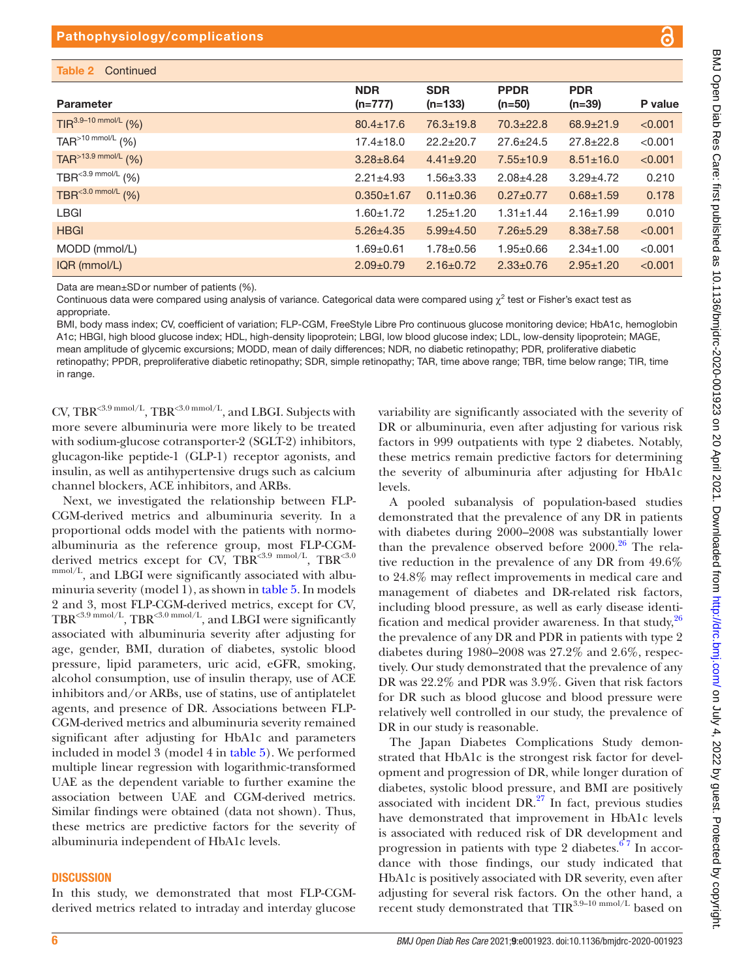| <b>Parameter</b>                     | <b>NDR</b><br>$(n=777)$ | <b>SDR</b><br>$(n=133)$ | <b>PPDR</b><br>$(n=50)$ | <b>PDR</b><br>$(n=39)$ | P value |
|--------------------------------------|-------------------------|-------------------------|-------------------------|------------------------|---------|
| $TIR^{3.9-10 \text{ mmol/L}}$ (%)    | $80.4 \pm 17.6$         | $76.3 \pm 19.8$         | $70.3 \pm 22.8$         | $68.9 \pm 21.9$        | < 0.001 |
| TAR $>10$ mmol/L (%)                 | $17.4 \pm 18.0$         | $22.2 \pm 20.7$         | $27.6 \pm 24.5$         | $27.8 \pm 22.8$        | < 0.001 |
| TAR <sup>&gt;13.9 mmol/L</sup> $(%)$ | $3.28 \pm 8.64$         | $4.41 \pm 9.20$         | $7.55 \pm 10.9$         | $8.51 \pm 16.0$        | < 0.001 |
| TBR <sup>&lt;3.9 mmol/L</sup> $(%)$  | $2.21 \pm 4.93$         | $1.56 \pm 3.33$         | $2.08 + 4.28$           | $3.29 \pm 4.72$        | 0.210   |
| TBR <sup>&lt;3.0 mmol/L</sup> $(%)$  | $0.350 \pm 1.67$        | $0.11 \pm 0.36$         | $0.27 \pm 0.77$         | $0.68 + 1.59$          | 0.178   |
| <b>LBGI</b>                          | $1.60 + 1.72$           | $1.25 \pm 1.20$         | $1.31 \pm 1.44$         | $2.16 + 1.99$          | 0.010   |
| <b>HBGI</b>                          | $5.26 \pm 4.35$         | $5.99 \pm 4.50$         | $7.26 \pm 5.29$         | $8.38 \pm 7.58$        | < 0.001 |
| MODD (mmol/L)                        | $1.69 + 0.61$           | $1.78 \pm 0.56$         | $1.95 \pm 0.66$         | $2.34 \pm 1.00$        | < 0.001 |
| IQR (mmol/L)                         | $2.09 \pm 0.79$         | $2.16 \pm 0.72$         | $2.33 \pm 0.76$         | $2.95 \pm 1.20$        | < 0.001 |

Continuous data were compared using analysis of variance. Categorical data were compared using  $\chi^2$  test or Fisher's exact test as appropriate.

BMI, body mass index; CV, coefficient of variation; FLP-CGM, FreeStyle Libre Pro continuous glucose monitoring device; HbA1c, hemoglobin A1c; HBGI, high blood glucose index; HDL, high-density lipoprotein; LBGI, low blood glucose index; LDL, low-density lipoprotein; MAGE, mean amplitude of glycemic excursions; MODD, mean of daily differences; NDR, no diabetic retinopathy; PDR, proliferative diabetic retinopathy; PPDR, preproliferative diabetic retinopathy; SDR, simple retinopathy; TAR, time above range; TBR, time below range; TIR, time in range.

CV, TBR<sup><3.9 mmol/L</sup>, TBR<sup><3.0 mmol/L</sup>, and LBGI. Subjects with more severe albuminuria were more likely to be treated with sodium-glucose cotransporter-2 (SGLT-2) inhibitors, glucagon-like peptide-1 (GLP-1) receptor agonists, and insulin, as well as antihypertensive drugs such as calcium channel blockers, ACE inhibitors, and ARBs.

Next, we investigated the relationship between FLP-CGM-derived metrics and albuminuria severity. In a proportional odds model with the patients with normoalbuminuria as the reference group, most FLP-CGMderived metrics except for CV, TBR<3.9 mmol/L, TBR<3.0 mmol/L, and LBGI were significantly associated with albuminuria severity (model 1), as shown in [table](#page-9-0) 5. In models 2 and 3, most FLP-CGM-derived metrics, except for CV, TBR<sup><3.9 mmol/L</sup>, TBR<sup><3.0 mmol/L</sup>, and LBGI were significantly associated with albuminuria severity after adjusting for age, gender, BMI, duration of diabetes, systolic blood pressure, lipid parameters, uric acid, eGFR, smoking, alcohol consumption, use of insulin therapy, use of ACE inhibitors and/or ARBs, use of statins, use of antiplatelet agents, and presence of DR. Associations between FLP-CGM-derived metrics and albuminuria severity remained significant after adjusting for HbA1c and parameters included in model 3 (model 4 in [table](#page-9-0) 5). We performed multiple linear regression with logarithmic-transformed UAE as the dependent variable to further examine the association between UAE and CGM-derived metrics. Similar findings were obtained (data not shown). Thus, these metrics are predictive factors for the severity of albuminuria independent of HbA1c levels.

#### **DISCUSSION**

In this study, we demonstrated that most FLP-CGMderived metrics related to intraday and interday glucose

variability are significantly associated with the severity of DR or albuminuria, even after adjusting for various risk factors in 999 outpatients with type 2 diabetes. Notably, these metrics remain predictive factors for determining the severity of albuminuria after adjusting for HbA1c levels.

A pooled subanalysis of population-based studies demonstrated that the prevalence of any DR in patients with diabetes during 2000–2008 was substantially lower than the prevalence observed before  $2000<sup>26</sup>$  The relative reduction in the prevalence of any DR from 49.6% to 24.8% may reflect improvements in medical care and management of diabetes and DR-related risk factors, including blood pressure, as well as early disease identification and medical provider awareness. In that study,  $26$ the prevalence of any DR and PDR in patients with type 2 diabetes during 1980–2008 was 27.2% and 2.6%, respectively. Our study demonstrated that the prevalence of any DR was 22.2% and PDR was 3.9%. Given that risk factors for DR such as blood glucose and blood pressure were relatively well controlled in our study, the prevalence of DR in our study is reasonable.

The Japan Diabetes Complications Study demonstrated that HbA1c is the strongest risk factor for development and progression of DR, while longer duration of diabetes, systolic blood pressure, and BMI are positively associated with incident  $DR<sup>27</sup>$  In fact, previous studies have demonstrated that improvement in HbA1c levels is associated with reduced risk of DR development and progression in patients with type 2 diabetes. $67$  In accordance with those findings, our study indicated that HbA1c is positively associated with DR severity, even after adjusting for several risk factors. On the other hand, a recent study demonstrated that  $\text{TIR}^{3.9-10 \text{ mmol/L}}$  based on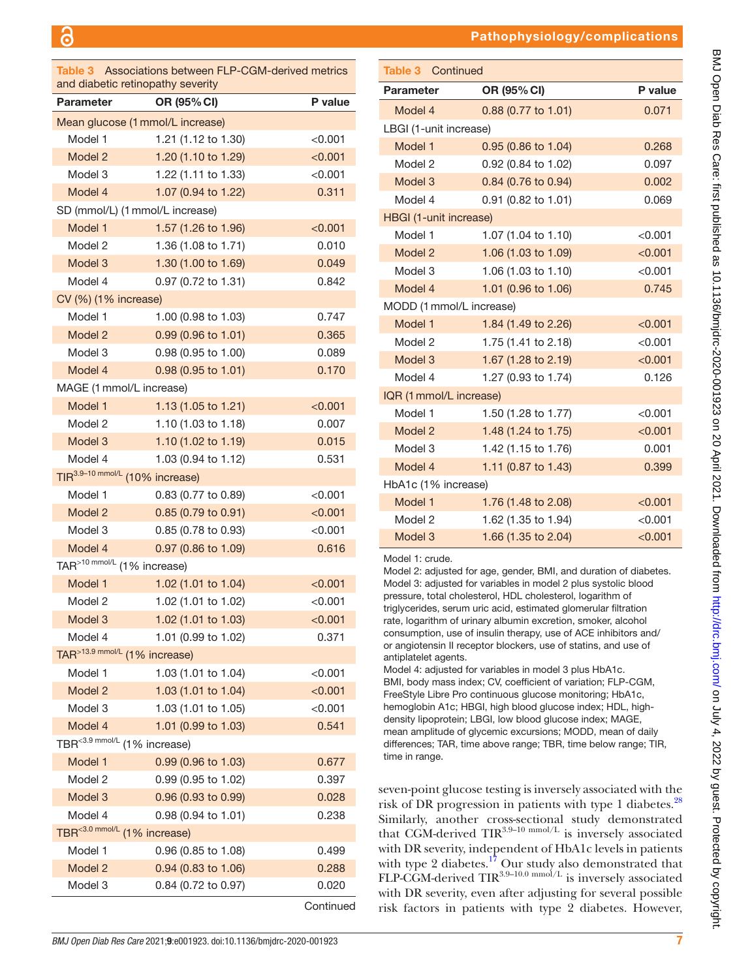<span id="page-6-0"></span>

| Table 3<br>and diabetic retinopathy severity | Associations between FLP-CGM-derived metrics |               |
|----------------------------------------------|----------------------------------------------|---------------|
| <b>Parameter</b>                             | OR (95% CI)                                  | P value       |
| Mean glucose (1 mmol/L increase)             |                                              |               |
| Model 1                                      | 1.21 (1.12 to 1.30)                          | $<$ 0.001 $<$ |
| Model 2                                      | 1.20 (1.10 to 1.29)                          | < 0.001       |
| Model 3                                      | 1.22 (1.11 to 1.33)                          | < 0.001       |
| Model 4                                      | 1.07 (0.94 to 1.22)                          | 0.311         |
| SD (mmol/L) (1 mmol/L increase)              |                                              |               |
| Model 1                                      | 1.57 (1.26 to 1.96)                          | < 0.001       |
| Model 2                                      | 1.36 (1.08 to 1.71)                          | 0.010         |
| Model 3                                      | 1.30 (1.00 to 1.69)                          | 0.049         |
| Model 4                                      | 0.97 (0.72 to 1.31)                          | 0.842         |
| CV (%) (1% increase)                         |                                              |               |
| Model 1                                      | 1.00 (0.98 to 1.03)                          | 0.747         |
| Model 2                                      | 0.99 (0.96 to 1.01)                          | 0.365         |
| Model 3                                      | 0.98 (0.95 to 1.00)                          | 0.089         |
| Model 4                                      | $0.98(0.95 \text{ to } 1.01)$                | 0.170         |
| MAGE (1 mmol/L increase)                     |                                              |               |
| Model 1                                      | 1.13 (1.05 to 1.21)                          | < 0.001       |
| Model 2                                      | 1.10 (1.03 to 1.18)                          | 0.007         |
| Model 3                                      | 1.10 (1.02 to 1.19)                          | 0.015         |
| Model 4                                      | 1.03 (0.94 to 1.12)                          | 0.531         |
| TIR <sup>3.9-10 mmol/L</sup> (10% increase)  |                                              |               |
| Model 1                                      | 0.83 (0.77 to 0.89)                          | < 0.001       |
| Model 2                                      | 0.85 (0.79 to 0.91)                          | < 0.001       |
| Model 3                                      | 0.85 (0.78 to 0.93)                          | < 0.001       |
| Model 4                                      | 0.97 (0.86 to 1.09)                          | 0.616         |
| TAR <sup>&gt;10 mmol/L</sup> (1% increase)   |                                              |               |
| Model 1                                      | 1.02 (1.01 to 1.04)                          | < 0.001       |
| Model 2                                      | 1.02 (1.01 to 1.02)                          | < 0.001       |
| Model 3                                      | 1.02 (1.01 to 1.03)                          | < 0.001       |
| Model 4                                      | 1.01 (0.99 to 1.02)                          | 0.371         |
| TAR <sup>&gt;13.9 mmol/L</sup> (1% increase) |                                              |               |
| Model 1                                      | 1.03 (1.01 to 1.04)                          | < 0.001       |
| Model 2                                      | 1.03 (1.01 to 1.04)                          | < 0.001       |
| Model 3                                      | 1.03 (1.01 to 1.05)                          | < 0.001       |
| Model 4                                      | 1.01 (0.99 to 1.03)                          | 0.541         |
| TBR<3.9 mmol/L (1% increase)                 |                                              |               |
| Model 1                                      | 0.99 (0.96 to 1.03)                          | 0.677         |
| Model 2                                      | 0.99 (0.95 to 1.02)                          | 0.397         |
| Model 3                                      | 0.96 (0.93 to 0.99)                          | 0.028         |
| Model 4                                      | 0.98 (0.94 to 1.01)                          | 0.238         |
| TBR<3.0 mmol/L (1% increase)                 |                                              |               |
| Model 1                                      | 0.96 (0.85 to 1.08)                          | 0.499         |
| Model 2                                      | 0.94 (0.83 to 1.06)                          | 0.288         |
| Model 3                                      | 0.84 (0.72 to 0.97)                          | 0.020         |

Continued

#### Pathophysiology/complications

| University Creat Chara Create is the fact of the state of the state of the create Create Create Create Create is the fact of the state of the create create of the create of the create of the create of the create of the cre<br>)<br>)<br>)<br>) |
|----------------------------------------------------------------------------------------------------------------------------------------------------------------------------------------------------------------------------------------------------|
|                                                                                                                                                                                                                                                    |
|                                                                                                                                                                                                                                                    |
|                                                                                                                                                                                                                                                    |
|                                                                                                                                                                                                                                                    |
|                                                                                                                                                                                                                                                    |
|                                                                                                                                                                                                                                                    |
|                                                                                                                                                                                                                                                    |
|                                                                                                                                                                                                                                                    |
|                                                                                                                                                                                                                                                    |
|                                                                                                                                                                                                                                                    |
|                                                                                                                                                                                                                                                    |
|                                                                                                                                                                                                                                                    |
|                                                                                                                                                                                                                                                    |
|                                                                                                                                                                                                                                                    |
|                                                                                                                                                                                                                                                    |
| .<br>.                                                                                                                                                                                                                                             |
|                                                                                                                                                                                                                                                    |
|                                                                                                                                                                                                                                                    |
| <b>UUD DDAD DDAD</b>                                                                                                                                                                                                                               |
|                                                                                                                                                                                                                                                    |
|                                                                                                                                                                                                                                                    |
|                                                                                                                                                                                                                                                    |
|                                                                                                                                                                                                                                                    |
|                                                                                                                                                                                                                                                    |
| -<br>-<br>-<br>><br>><br>>                                                                                                                                                                                                                         |
|                                                                                                                                                                                                                                                    |
|                                                                                                                                                                                                                                                    |
| $\overline{ }$                                                                                                                                                                                                                                     |
| りんこ こくりょうしゃ                                                                                                                                                                                                                                        |
|                                                                                                                                                                                                                                                    |
|                                                                                                                                                                                                                                                    |
|                                                                                                                                                                                                                                                    |
|                                                                                                                                                                                                                                                    |
| ism<br>P                                                                                                                                                                                                                                           |
|                                                                                                                                                                                                                                                    |
|                                                                                                                                                                                                                                                    |
|                                                                                                                                                                                                                                                    |
|                                                                                                                                                                                                                                                    |
| <b>SIMPLE STATES (SIMPLE)</b>                                                                                                                                                                                                                      |
|                                                                                                                                                                                                                                                    |
|                                                                                                                                                                                                                                                    |
|                                                                                                                                                                                                                                                    |
| .<br>.<br>.<br>.                                                                                                                                                                                                                                   |
|                                                                                                                                                                                                                                                    |
| - 1 くーー<br>く<br>)<br>)<br>)                                                                                                                                                                                                                        |
|                                                                                                                                                                                                                                                    |
|                                                                                                                                                                                                                                                    |
|                                                                                                                                                                                                                                                    |
|                                                                                                                                                                                                                                                    |
| ׇ֚֡                                                                                                                                                                                                                                                |
|                                                                                                                                                                                                                                                    |
|                                                                                                                                                                                                                                                    |
|                                                                                                                                                                                                                                                    |
|                                                                                                                                                                                                                                                    |
|                                                                                                                                                                                                                                                    |
|                                                                                                                                                                                                                                                    |
|                                                                                                                                                                                                                                                    |

| <b>Table 3 Continued</b>      |                       |         |
|-------------------------------|-----------------------|---------|
| <b>Parameter</b>              | OR (95% CI)           | P value |
| Model 4                       | $0.88$ (0.77 to 1.01) | 0.071   |
| LBGI (1-unit increase)        |                       |         |
| Model 1                       | $0.95$ (0.86 to 1.04) | 0.268   |
| Model 2                       | 0.92 (0.84 to 1.02)   | 0.097   |
| Model 3                       | 0.84 (0.76 to 0.94)   | 0.002   |
| Model 4                       | 0.91 (0.82 to 1.01)   | 0.069   |
| <b>HBGI (1-unit increase)</b> |                       |         |
| Model 1                       | 1.07 (1.04 to 1.10)   | < 0.001 |
| Model 2                       | 1.06 (1.03 to 1.09)   | < 0.001 |
| Model 3                       | 1.06 (1.03 to 1.10)   | < 0.001 |
| Model 4                       | 1.01 (0.96 to 1.06)   | 0.745   |
| MODD (1 mmol/L increase)      |                       |         |
| Model 1                       | 1.84 (1.49 to 2.26)   | < 0.001 |
| Model 2                       | 1.75 (1.41 to 2.18)   | < 0.001 |
| Model 3                       | 1.67 (1.28 to 2.19)   | < 0.001 |
| Model 4                       | 1.27 (0.93 to 1.74)   | 0.126   |
| IQR (1 mmol/L increase)       |                       |         |
| Model 1                       | 1.50 (1.28 to 1.77)   | < 0.001 |
| Model 2                       | 1.48 (1.24 to 1.75)   | < 0.001 |
| Model 3                       | 1.42 (1.15 to 1.76)   | 0.001   |
| Model 4                       | 1.11 (0.87 to 1.43)   | 0.399   |
|                               |                       |         |

| HbA1c (1% increase) |                     |         |
|---------------------|---------------------|---------|
| Model 1             | 1.76 (1.48 to 2.08) | < 0.001 |
| Model 2             | 1.62 (1.35 to 1.94) | < 0.001 |
| Model 3             | 1.66 (1.35 to 2.04) | < 0.001 |
|                     |                     |         |

Model 1: crude.

Model 2: adjusted for age, gender, BMI, and duration of diabetes. Model 3: adjusted for variables in model 2 plus systolic blood pressure, total cholesterol, HDL cholesterol, logarithm of triglycerides, serum uric acid, estimated glomerular filtration rate, logarithm of urinary albumin excretion, smoker, alcohol consumption, use of insulin therapy, use of ACE inhibitors and/ or angiotensin II receptor blockers, use of statins, and use of antiplatelet agents.

Model 4: adjusted for variables in model 3 plus HbA1c. BMI, body mass index; CV, coefficient of variation; FLP-CGM, FreeStyle Libre Pro continuous glucose monitoring; HbA1c, hemoglobin A1c; HBGI, high blood glucose index; HDL, highdensity lipoprotein; LBGI, low blood glucose index; MAGE, mean amplitude of glycemic excursions; MODD, mean of daily differences; TAR, time above range; TBR, time below range; TIR, time in range.

seven-point glucose testing is inversely associated with the risk of DR progression in patients with type 1 diabetes.<sup>[28](#page-11-21)</sup> Similarly, another cross-sectional study demonstrated that CGM-derived  $TIR<sup>3.9-10</sup>$  mmol/L is inversely associated with DR severity, independent of HbA1c levels in patients with type 2 diabetes.<sup>[17](#page-11-22)</sup> Our study also demonstrated that FLP-CGM-derived  $TIR^{3.9-10.0 \text{ mmol/L}}$  is inversely associated with DR severity, even after adjusting for several possible risk factors in patients with type 2 diabetes. However,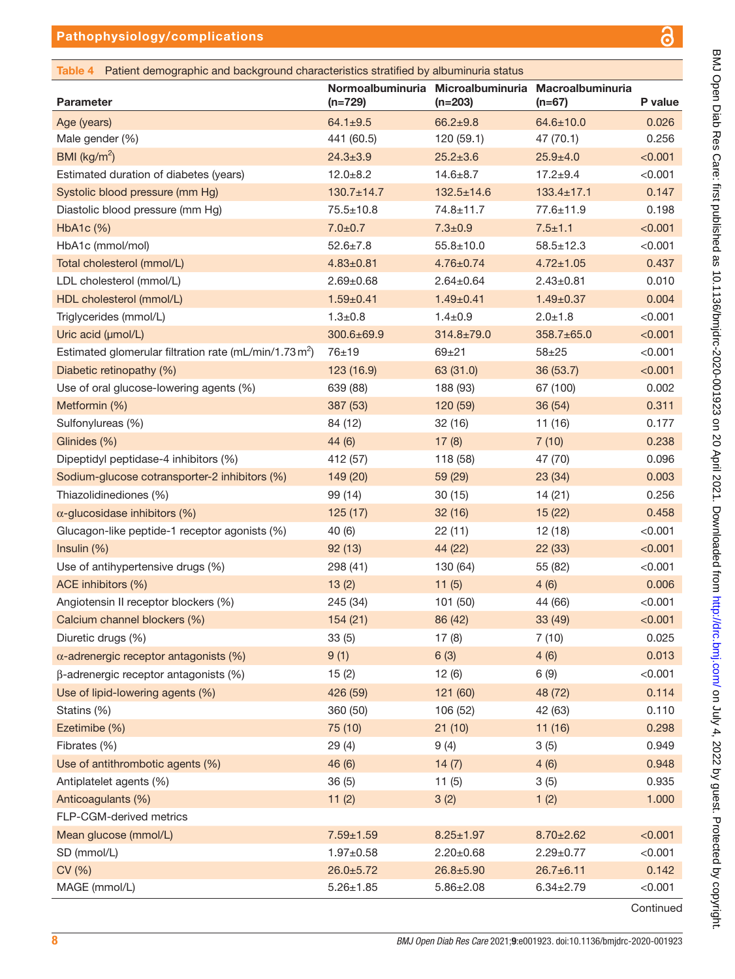$\mathbf{\overline{\omega}}$ 

<span id="page-7-0"></span>

| <b>Parameter</b>                                         | Normoalbuminuria Microalbuminuria<br>$(n=729)$ | $(n=203)$        | Macroalbuminuria<br>$(n=67)$ | P value |
|----------------------------------------------------------|------------------------------------------------|------------------|------------------------------|---------|
| Age (years)                                              | $64.1 \pm 9.5$                                 | $66.2 + 9.8$     | $64.6 \pm 10.0$              | 0.026   |
| Male gender (%)                                          | 441 (60.5)                                     | 120(59.1)        | 47 (70.1)                    | 0.256   |
| BMI ( $\text{kg/m}^2$ )                                  | $24.3 \pm 3.9$                                 | $25.2 \pm 3.6$   | $25.9 \pm 4.0$               | < 0.001 |
| Estimated duration of diabetes (years)                   | $12.0 + 8.2$                                   | $14.6 \pm 8.7$   | $17.2 + 9.4$                 | < 0.001 |
| Systolic blood pressure (mm Hg)                          | $130.7 \pm 14.7$                               | $132.5 \pm 14.6$ | $133.4 \pm 17.1$             | 0.147   |
| Diastolic blood pressure (mm Hg)                         | $75.5 \pm 10.8$                                | 74.8±11.7        | 77.6±11.9                    | 0.198   |
| HbA1c (%)                                                | $7.0 + 0.7$                                    | $7.3 + 0.9$      | $7.5 \pm 1.1$                | < 0.001 |
| HbA1c (mmol/mol)                                         | $52.6 \pm 7.8$                                 | $55.8 \pm 10.0$  | $58.5 \pm 12.3$              | < 0.001 |
| Total cholesterol (mmol/L)                               | $4.83 \pm 0.81$                                | $4.76 \pm 0.74$  | $4.72 \pm 1.05$              | 0.437   |
| LDL cholesterol (mmol/L)                                 | $2.69 \pm 0.68$                                | $2.64 \pm 0.64$  | $2.43 \pm 0.81$              | 0.010   |
| HDL cholesterol (mmol/L)                                 | $1.59 \pm 0.41$                                | $1.49 \pm 0.41$  | $1.49 \pm 0.37$              | 0.004   |
| Triglycerides (mmol/L)                                   | $1.3 + 0.8$                                    | $1.4 + 0.9$      | $2.0 + 1.8$                  | < 0.001 |
| Uric acid (µmol/L)                                       | 300.6±69.9                                     | 314.8±79.0       | $358.7 \pm 65.0$             | < 0.001 |
| Estimated glomerular filtration rate (mL/min/1.73 $m2$ ) | 76±19                                          | $69 + 21$        | $58 + 25$                    | < 0.001 |
| Diabetic retinopathy (%)                                 | 123 (16.9)                                     | 63 (31.0)        | 36 (53.7)                    | < 0.001 |
| Use of oral glucose-lowering agents (%)                  | 639 (88)                                       | 188 (93)         | 67 (100)                     | 0.002   |
| Metformin (%)                                            | 387 (53)                                       | 120 (59)         | 36 (54)                      | 0.311   |
| Sulfonylureas (%)                                        | 84 (12)                                        | 32(16)           | 11 (16)                      | 0.177   |
| Glinides (%)                                             | 44(6)                                          | 17(8)            | 7(10)                        | 0.238   |
| Dipeptidyl peptidase-4 inhibitors (%)                    | 412 (57)                                       | 118 (58)         | 47 (70)                      | 0.096   |
| Sodium-glucose cotransporter-2 inhibitors (%)            | 149 (20)                                       | 59 (29)          | 23(34)                       | 0.003   |
| Thiazolidinediones (%)                                   | 99 (14)                                        | 30(15)           | 14(21)                       | 0.256   |
| $\alpha$ -glucosidase inhibitors (%)                     | 125(17)                                        | 32(16)           | 15(22)                       | 0.458   |
| Glucagon-like peptide-1 receptor agonists (%)            | 40 (6)                                         | 22(11)           | 12(18)                       | < 0.001 |
| Insulin (%)                                              | 92(13)                                         | 44 (22)          | 22 (33)                      | < 0.001 |
| Use of antihypertensive drugs (%)                        | 298 (41)                                       | 130 (64)         | 55 (82)                      | < 0.001 |
| ACE inhibitors (%)                                       | 13(2)                                          | 11(5)            | 4(6)                         | 0.006   |
| Angiotensin II receptor blockers (%)                     | 245 (34)                                       | 101 (50)         | 44 (66)                      | < 0.001 |
| Calcium channel blockers (%)                             | 154(21)                                        | 86 (42)          | 33(49)                       | < 0.001 |
| Diuretic drugs (%)                                       | 33(5)                                          | 17(8)            | 7(10)                        | 0.025   |
| $\alpha$ -adrenergic receptor antagonists (%)            | 9(1)                                           | 6(3)             | 4(6)                         | 0.013   |
| $\beta$ -adrenergic receptor antagonists (%)             | 15(2)                                          | 12(6)            | 6(9)                         | < 0.001 |
| Use of lipid-lowering agents (%)                         | 426 (59)                                       | 121 (60)         | 48 (72)                      | 0.114   |
| Statins (%)                                              | 360 (50)                                       | 106 (52)         | 42 (63)                      | 0.110   |
| Ezetimibe (%)                                            | 75 (10)                                        | 21(10)           | 11(16)                       | 0.298   |
| Fibrates (%)                                             | 29(4)                                          | 9(4)             | 3(5)                         | 0.949   |
| Use of antithrombotic agents (%)                         | 46 (6)                                         | 14(7)            | 4(6)                         | 0.948   |
| Antiplatelet agents (%)                                  | 36(5)                                          | 11(5)            | 3(5)                         | 0.935   |
| Anticoagulants (%)                                       | 11(2)                                          | 3(2)             | 1(2)                         | 1.000   |
| FLP-CGM-derived metrics                                  |                                                |                  |                              |         |
| Mean glucose (mmol/L)                                    | $7.59 \pm 1.59$                                | $8.25 \pm 1.97$  | $8.70 \pm 2.62$              | < 0.001 |
| SD (mmol/L)                                              | $1.97 + 0.58$                                  | $2.20 \pm 0.68$  | $2.29 \pm 0.77$              | < 0.001 |
| CV (%)                                                   | $26.0 \pm 5.72$                                | $26.8 \pm 5.90$  | $26.7 \pm 6.11$              | 0.142   |
| MAGE (mmol/L)                                            | $5.26 \pm 1.85$                                | $5.86 \pm 2.08$  | $6.34 \pm 2.79$              | < 0.001 |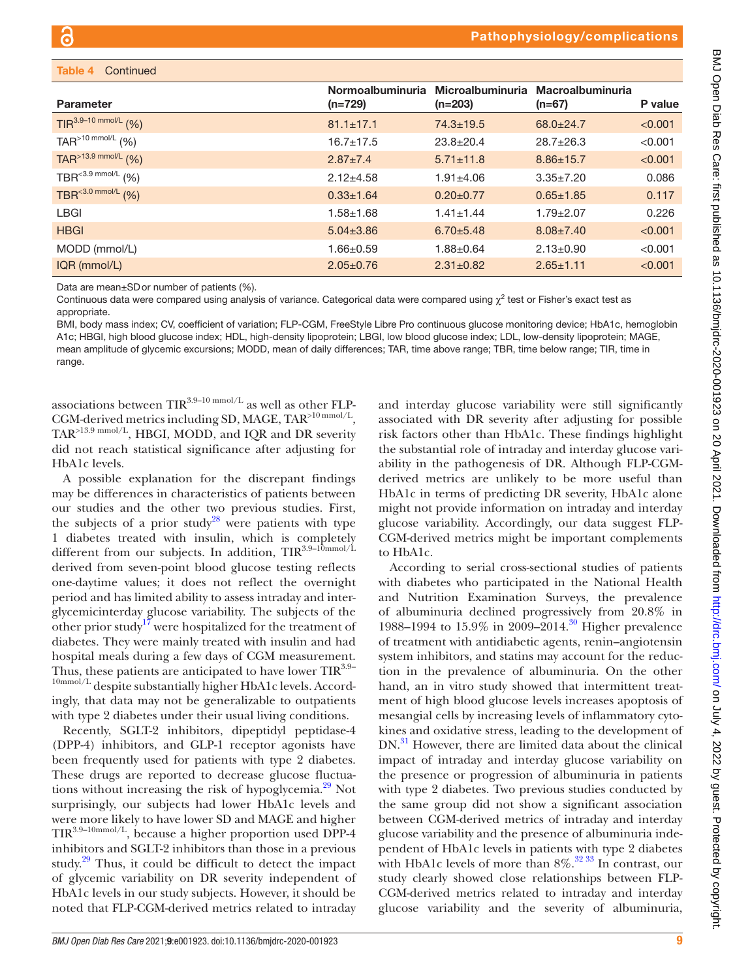| Table 4<br>Continued                |                               |                               |                                     |         |
|-------------------------------------|-------------------------------|-------------------------------|-------------------------------------|---------|
| <b>Parameter</b>                    | Normoalbuminuria<br>$(n=729)$ | Microalbuminuria<br>$(n=203)$ | <b>Macroalbuminuria</b><br>$(n=67)$ | P value |
| $TIR^{3.9-10 \text{ mmol/L}}$ (%)   | $81.1 \pm 17.1$               | $74.3 \pm 19.5$               | $68.0 \pm 24.7$                     | < 0.001 |
| TAR <sup>&gt;10 mmol/L</sup> $(% )$ | $16.7 \pm 17.5$               | $23.8 \pm 20.4$               | $28.7 \pm 26.3$                     | < 0.001 |
| TAR <sup>&gt;13.9 mmol/L</sup> (%)  | $2.87 \pm 7.4$                | $5.71 \pm 11.8$               | $8.86 \pm 15.7$                     | < 0.001 |
| TBR <sup>&lt;3.9 mmol/L</sup> $(%)$ | $2.12 + 4.58$                 | $1.91 \pm 4.06$               | $3.35 \pm 7.20$                     | 0.086   |
| TBR <sup>&lt;3.0 mmol/L</sup> $(%)$ | $0.33 \pm 1.64$               | $0.20 \pm 0.77$               | $0.65 \pm 1.85$                     | 0.117   |
| <b>LBGI</b>                         | $1.58 + 1.68$                 | $1.41 \pm 1.44$               | $1.79 + 2.07$                       | 0.226   |
| <b>HBGI</b>                         | $5.04 \pm 3.86$               | $6.70 + 5.48$                 | $8.08 \pm 7.40$                     | < 0.001 |
| MODD (mmol/L)                       | $1.66 \pm 0.59$               | $1.88 \pm 0.64$               | $2.13 \pm 0.90$                     | < 0.001 |
| IQR (mmol/L)                        | $2.05 \pm 0.76$               | $2.31 \pm 0.82$               | $2.65 \pm 1.11$                     | < 0.001 |

Data are mean±SDor number of patients (%).

Continuous data were compared using analysis of variance. Categorical data were compared using  $\chi^2$  test or Fisher's exact test as appropriate.

BMI, body mass index; CV, coefficient of variation; FLP-CGM, FreeStyle Libre Pro continuous glucose monitoring device; HbA1c, hemoglobin A1c; HBGI, high blood glucose index; HDL, high-density lipoprotein; LBGI, low blood glucose index; LDL, low-density lipoprotein; MAGE, mean amplitude of glycemic excursions; MODD, mean of daily differences; TAR, time above range; TBR, time below range; TIR, time in range.

associations between  $\text{TIR}^{3.9-10 \text{ mmol/L}}$  as well as other FLP-CGM-derived metrics including SD, MAGE, TAR>10 mmol/L, TAR>13.9 mmol/L, HBGI, MODD, and IQR and DR severity did not reach statistical significance after adjusting for HbA1c levels.

A possible explanation for the discrepant findings may be differences in characteristics of patients between our studies and the other two previous studies. First, the subjects of a prior study<sup>28</sup> were patients with type 1 diabetes treated with insulin, which is completely different from our subjects. In addition, TIR<sup>3.9-10mmol/L</sup> derived from seven-point blood glucose testing reflects one-daytime values; it does not reflect the overnight period and has limited ability to assess intraday and interglycemicinterday glucose variability. The subjects of the other prior study<sup>[17](#page-11-22)</sup> were hospitalized for the treatment of diabetes. They were mainly treated with insulin and had hospital meals during a few days of CGM measurement. Thus, these patients are anticipated to have lower  $TIR<sup>3.9–</sup>$ 10mmol/L despite substantially higher HbA1c levels. Accordingly, that data may not be generalizable to outpatients with type 2 diabetes under their usual living conditions.

Recently, SGLT-2 inhibitors, dipeptidyl peptidase-4 (DPP-4) inhibitors, and GLP-1 receptor agonists have been frequently used for patients with type 2 diabetes. These drugs are reported to decrease glucose fluctuations without increasing the risk of hypoglycemia.<sup>29</sup> Not surprisingly, our subjects had lower HbA1c levels and were more likely to have lower SD and MAGE and higher TIR3.9–10mmol/L, because a higher proportion used DPP-4 inhibitors and SGLT-2 inhibitors than those in a previous study.<sup>[29](#page-11-23)</sup> Thus, it could be difficult to detect the impact of glycemic variability on DR severity independent of HbA1c levels in our study subjects. However, it should be noted that FLP-CGM-derived metrics related to intraday

and interday glucose variability were still significantly associated with DR severity after adjusting for possible risk factors other than HbA1c. These findings highlight the substantial role of intraday and interday glucose variability in the pathogenesis of DR. Although FLP-CGMderived metrics are unlikely to be more useful than HbA1c in terms of predicting DR severity, HbA1c alone might not provide information on intraday and interday glucose variability. Accordingly, our data suggest FLP-CGM-derived metrics might be important complements to HbA1c.

According to serial cross-sectional studies of patients with diabetes who participated in the National Health and Nutrition Examination Surveys, the prevalence of albuminuria declined progressively from 20.8% in 1988–1994 to 15.9% in 2009–2014.<sup>30</sup> Higher prevalence of treatment with antidiabetic agents, renin–angiotensin system inhibitors, and statins may account for the reduction in the prevalence of albuminuria. On the other hand, an in vitro study showed that intermittent treatment of high blood glucose levels increases apoptosis of mesangial cells by increasing levels of inflammatory cytokines and oxidative stress, leading to the development of DN.<sup>[31](#page-11-25)</sup> However, there are limited data about the clinical impact of intraday and interday glucose variability on the presence or progression of albuminuria in patients with type 2 diabetes. Two previous studies conducted by the same group did not show a significant association between CGM-derived metrics of intraday and interday glucose variability and the presence of albuminuria independent of HbA1c levels in patients with type 2 diabetes with HbA1c levels of more than  $8\%$ .<sup>32 33</sup> In contrast, our study clearly showed close relationships between FLP-CGM-derived metrics related to intraday and interday glucose variability and the severity of albuminuria,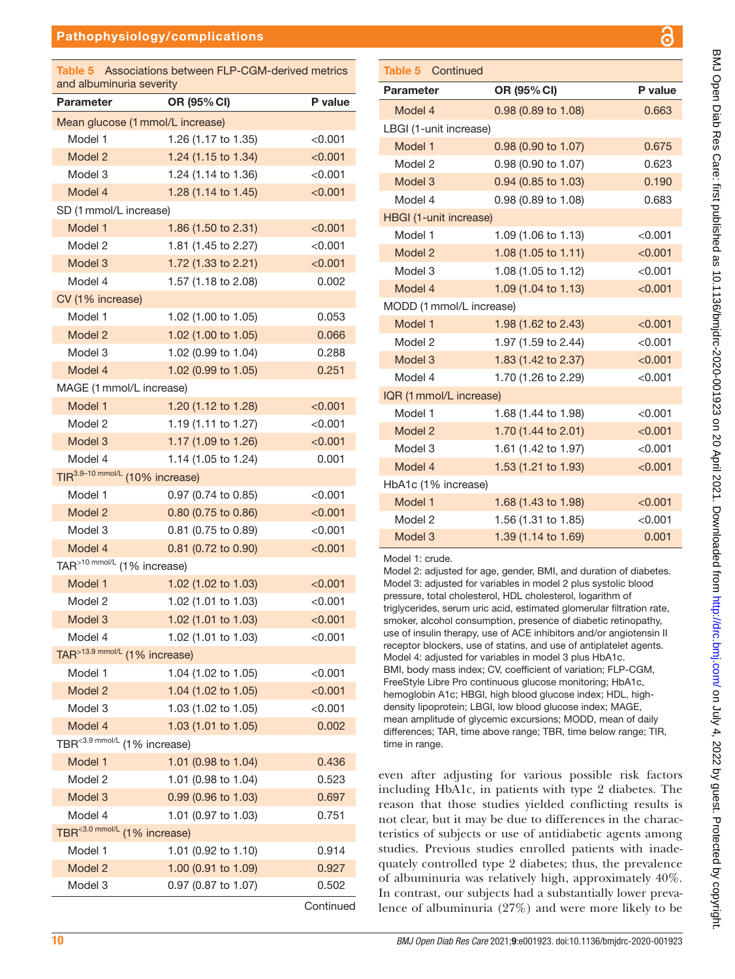#### Pathophysiology/complications

<span id="page-9-0"></span>

| Associations between FLP-CGM-derived metrics<br>Table 5<br>and albuminuria severity |                                             |               |  |
|-------------------------------------------------------------------------------------|---------------------------------------------|---------------|--|
| <b>Parameter</b>                                                                    | OR (95% CI)                                 | P value       |  |
|                                                                                     | Mean glucose (1 mmol/L increase)            |               |  |
| Model 1                                                                             | 1.26 (1.17 to 1.35)                         | <0.001        |  |
| Model 2                                                                             | 1.24 (1.15 to 1.34)                         | < 0.001       |  |
| Model 3                                                                             | 1.24 (1.14 to 1.36)                         | < 0.001       |  |
| Model 4                                                                             | 1.28 (1.14 to 1.45)                         | < 0.001       |  |
| SD (1 mmol/L increase)                                                              |                                             |               |  |
| Model 1                                                                             | 1.86 (1.50 to 2.31)                         | < 0.001       |  |
| Model 2                                                                             | 1.81 (1.45 to 2.27)                         | < 0.001       |  |
| Model 3                                                                             | 1.72 (1.33 to 2.21)                         | < 0.001       |  |
| Model 4                                                                             | 1.57 (1.18 to 2.08)                         | 0.002         |  |
| CV (1% increase)                                                                    |                                             |               |  |
| Model 1                                                                             | 1.02 (1.00 to 1.05)                         | 0.053         |  |
| Model 2                                                                             | 1.02 (1.00 to 1.05)                         | 0.066         |  |
| Model 3                                                                             | 1.02 (0.99 to 1.04)                         | 0.288         |  |
| Model 4                                                                             | 1.02 (0.99 to 1.05)                         | 0.251         |  |
|                                                                                     | MAGE (1 mmol/L increase)                    |               |  |
| Model 1                                                                             | 1.20 (1.12 to 1.28)                         | < 0.001       |  |
| Model 2                                                                             | 1.19 (1.11 to 1.27)                         | < 0.001       |  |
| Model 3                                                                             | 1.17 (1.09 to 1.26)                         | < 0.001       |  |
| Model 4                                                                             | 1.14 (1.05 to 1.24)                         | 0.001         |  |
|                                                                                     | TIR <sup>3.9-10 mmol/L</sup> (10% increase) |               |  |
| Model 1                                                                             | 0.97 (0.74 to 0.85)                         | $<$ 0.001 $<$ |  |
| Model 2                                                                             | 0.80 (0.75 to 0.86)                         | < 0.001       |  |
| Model 3                                                                             | 0.81 (0.75 to 0.89)                         | < 0.001       |  |
| Model 4                                                                             | 0.81 (0.72 to 0.90)                         | < 0.001       |  |
|                                                                                     | TAR>10 mmol/L (1% increase)                 |               |  |
| Model 1                                                                             | 1.02 (1.02 to 1.03)                         | < 0.001       |  |
| Model 2                                                                             | 1.02 (1.01 to 1.03)                         | < 0.001       |  |
| Model 3                                                                             | 1.02 (1.01 to 1.03)                         | < 0.001       |  |
| Model 4                                                                             | 1.02 (1.01 to 1.03)                         | $<$ 0.001     |  |
|                                                                                     | TAR>13.9 mmol/L (1% increase)               |               |  |
| Model 1                                                                             | 1.04 (1.02 to 1.05)                         | < 0.001       |  |
| Model 2                                                                             | 1.04 (1.02 to 1.05)                         | < 0.001       |  |
| Model 3                                                                             | 1.03 (1.02 to 1.05)                         | < 0.001       |  |
| Model 4                                                                             | 1.03 (1.01 to 1.05)                         | 0.002         |  |
|                                                                                     | TBR <sup>&lt;3.9 mmol/L</sup> (1% increase) |               |  |
| Model 1                                                                             | 1.01 (0.98 to 1.04)                         | 0.436         |  |
| Model 2                                                                             | 1.01 (0.98 to 1.04)                         | 0.523         |  |
| Model 3                                                                             | 0.99 (0.96 to 1.03)                         | 0.697         |  |
| Model 4                                                                             | 1.01 (0.97 to 1.03)                         | 0.751         |  |
|                                                                                     | TBR<3.0 mmol/L (1% increase)                |               |  |
| Model 1                                                                             | 1.01 (0.92 to 1.10)                         | 0.914         |  |
| Model 2                                                                             | 1.00 (0.91 to 1.09)                         | 0.927         |  |
| Model 3                                                                             | 0.97 (0.87 to 1.07)                         | 0.502         |  |
|                                                                                     |                                             | Continued     |  |

### Parameter OR (95% CI) P value Model 4 0.98 (0.89 to 1.08) 0.663 LBGI (1-unit increase) Model 1 0.98 (0.90 to 1.07) 0.675 Model 2 0.98 (0.90 to 1.07) 0.623 Model 3 0.94 (0.85 to 1.03) 0.190 Model 4 0.98 (0.89 to 1.08) 0.683 HBGI (1-unit increase) Model 1 1.09 (1.06 to 1.13) <0.001 Model 2 1.08 (1.05 to 1.11) <0.001 Model 3 1.08 (1.05 to 1.12)  $< 0.001$ Model 4 1.09 (1.04 to 1.13)  $\leq 0.001$ MODD (1mmol/L increase) Model 1 1.98 (1.62 to 2.43) <0.001 Model 2 1.97 (1.59 to 2.44) <0.001 Model 3 1.83 (1.42 to 2.37)  $<$  0.001 Model 4 1.70 (1.26 to 2.29) <0.001 IQR (1mmol/L increase) Model 1 1.68 (1.44 to 1.98) <0.001 Model 2 1.70 (1.44 to 2.01)  $<$  0.001 Model 3 1.61 (1.42 to 1.97)  $\leq 0.001$ Model 4 1.53 (1.21 to 1.93) <0.001 HbA1c (1% increase) Model 1 1.68 (1.43 to 1.98) <0.001 Model 2 1.56 (1.31 to 1.85) <0.001 Model 3 1.39 (1.14 to 1.69) 0.001

Model 1: crude.

Table 5 Continued

Model 2: adjusted for age, gender, BMI, and duration of diabetes. Model 3: adjusted for variables in model 2 plus systolic blood pressure, total cholesterol, HDL cholesterol, logarithm of triglycerides, serum uric acid, estimated glomerular filtration rate, smoker, alcohol consumption, presence of diabetic retinopathy, use of insulin therapy, use of ACE inhibitors and/or angiotensin II receptor blockers, use of statins, and use of antiplatelet agents. Model 4: adjusted for variables in model 3 plus HbA1c. BMI, body mass index; CV, coefficient of variation; FLP-CGM, FreeStyle Libre Pro continuous glucose monitoring; HbA1c, hemoglobin A1c; HBGI, high blood glucose index; HDL, highdensity lipoprotein; LBGI, low blood glucose index; MAGE, mean amplitude of glycemic excursions; MODD, mean of daily differences; TAR, time above range; TBR, time below range; TIR, time in range.

even after adjusting for various possible risk factors including HbA1c, in patients with type 2 diabetes. The reason that those studies yielded conflicting results is not clear, but it may be due to differences in the characteristics of subjects or use of antidiabetic agents among studies. Previous studies enrolled patients with inadequately controlled type 2 diabetes; thus, the prevalence of albuminuria was relatively high, approximately 40%. In contrast, our subjects had a substantially lower prevalence of albuminuria (27%) and were more likely to be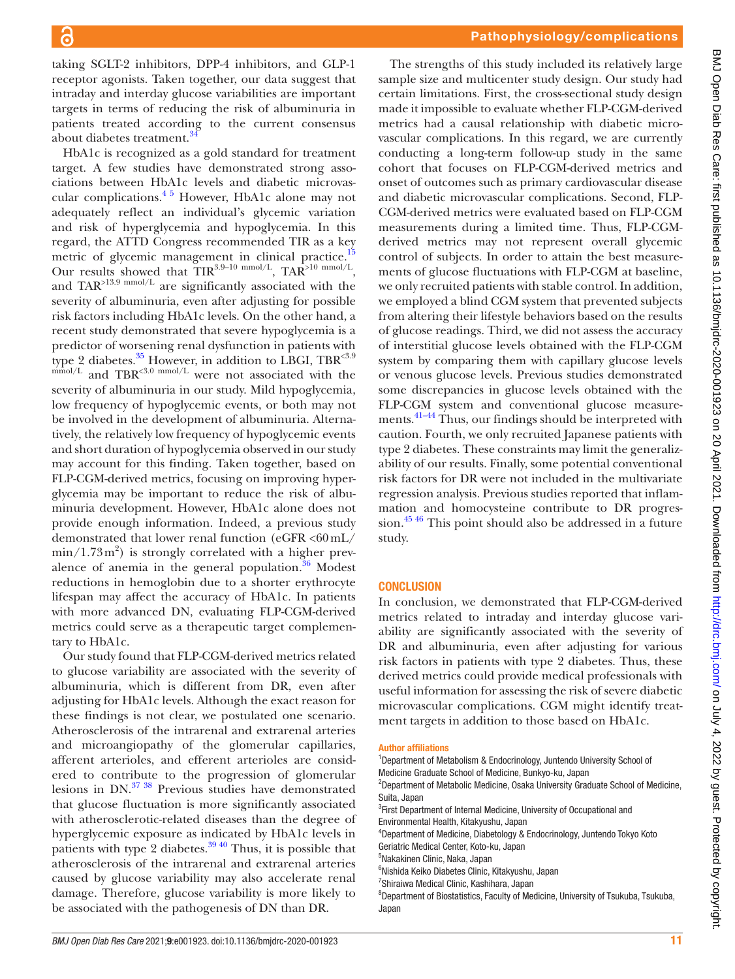taking SGLT-2 inhibitors, DPP-4 inhibitors, and GLP-1 receptor agonists. Taken together, our data suggest that intraday and interday glucose variabilities are important targets in terms of reducing the risk of albuminuria in patients treated according to the current consensus about diabetes treatment.<sup>[34](#page-12-0)</sup>

HbA1c is recognized as a gold standard for treatment target. A few studies have demonstrated strong associations between HbA1c levels and diabetic microvascular complications.[4 5](#page-11-3) However, HbA1c alone may not adequately reflect an individual's glycemic variation and risk of hyperglycemia and hypoglycemia. In this regard, the ATTD Congress recommended TIR as a key metric of glycemic management in clinical practice.<sup>1</sup> Our results showed that  $TIR^{3.9-10 \text{ mmol/L}}$ , TAR<sup>>10 mmol/L</sup>, and TAR>13.9 mmol/L are significantly associated with the severity of albuminuria, even after adjusting for possible risk factors including HbA1c levels. On the other hand, a recent study demonstrated that severe hypoglycemia is a predictor of worsening renal dysfunction in patients with type 2 diabetes. $35$  However, in addition to LBGI, TBR $^{3.9}$  $<sub>mmol/L</sub>$  and TBR<sup><3.0 mmol/L</sup> were not associated with the</sub> severity of albuminuria in our study. Mild hypoglycemia, low frequency of hypoglycemic events, or both may not be involved in the development of albuminuria. Alternatively, the relatively low frequency of hypoglycemic events and short duration of hypoglycemia observed in our study may account for this finding. Taken together, based on FLP-CGM-derived metrics, focusing on improving hyperglycemia may be important to reduce the risk of albuminuria development. However, HbA1c alone does not provide enough information. Indeed, a previous study demonstrated that lower renal function (eGFR  $<60$  mL/  $\min/1.73 \,\mathrm{m}^2$ ) is strongly correlated with a higher prevalence of anemia in the general population. $36$  Modest reductions in hemoglobin due to a shorter erythrocyte lifespan may affect the accuracy of HbA1c. In patients with more advanced DN, evaluating FLP-CGM-derived metrics could serve as a therapeutic target complementary to HbA1c.

Our study found that FLP-CGM-derived metrics related to glucose variability are associated with the severity of albuminuria, which is different from DR, even after adjusting for HbA1c levels. Although the exact reason for these findings is not clear, we postulated one scenario. Atherosclerosis of the intrarenal and extrarenal arteries and microangiopathy of the glomerular capillaries, afferent arterioles, and efferent arterioles are considered to contribute to the progression of glomerular lesions in DN.[37 38](#page-12-3) Previous studies have demonstrated that glucose fluctuation is more significantly associated with atherosclerotic-related diseases than the degree of hyperglycemic exposure as indicated by HbA1c levels in patients with type 2 diabetes.<sup>[39 40](#page-12-4)</sup> Thus, it is possible that atherosclerosis of the intrarenal and extrarenal arteries caused by glucose variability may also accelerate renal damage. Therefore, glucose variability is more likely to be associated with the pathogenesis of DN than DR.

The strengths of this study included its relatively large sample size and multicenter study design. Our study had certain limitations. First, the cross-sectional study design made it impossible to evaluate whether FLP-CGM-derived metrics had a causal relationship with diabetic microvascular complications. In this regard, we are currently conducting a long-term follow-up study in the same cohort that focuses on FLP-CGM-derived metrics and onset of outcomes such as primary cardiovascular disease and diabetic microvascular complications. Second, FLP-CGM-derived metrics were evaluated based on FLP-CGM measurements during a limited time. Thus, FLP-CGMderived metrics may not represent overall glycemic control of subjects. In order to attain the best measurements of glucose fluctuations with FLP-CGM at baseline, we only recruited patients with stable control. In addition, we employed a blind CGM system that prevented subjects from altering their lifestyle behaviors based on the results of glucose readings. Third, we did not assess the accuracy of interstitial glucose levels obtained with the FLP-CGM system by comparing them with capillary glucose levels or venous glucose levels. Previous studies demonstrated some discrepancies in glucose levels obtained with the FLP-CGM system and conventional glucose measurements.<sup>41-44</sup> Thus, our findings should be interpreted with caution. Fourth, we only recruited Japanese patients with type 2 diabetes. These constraints may limit the generalizability of our results. Finally, some potential conventional risk factors for DR were not included in the multivariate regression analysis. Previous studies reported that inflammation and homocysteine contribute to DR progression.<sup>45 46</sup> This point should also be addressed in a future study.

#### **CONCLUSION**

In conclusion, we demonstrated that FLP-CGM-derived metrics related to intraday and interday glucose variability are significantly associated with the severity of DR and albuminuria, even after adjusting for various risk factors in patients with type 2 diabetes. Thus, these derived metrics could provide medical professionals with useful information for assessing the risk of severe diabetic microvascular complications. CGM might identify treatment targets in addition to those based on HbA1c.

#### Author affiliations

- <sup>1</sup>Department of Metabolism & Endocrinology, Juntendo University School of Medicine Graduate School of Medicine, Bunkyo-ku, Japan
- <sup>2</sup>Department of Metabolic Medicine, Osaka University Graduate School of Medicine, Suita, Japan
- <sup>3</sup>First Department of Internal Medicine, University of Occupational and Environmental Health, Kitakyushu, Japan
- 4 Department of Medicine, Diabetology & Endocrinology, Juntendo Tokyo Koto Geriatric Medical Center, Koto-ku, Japan
- 5 Nakakinen Clinic, Naka, Japan
- 6 Nishida Keiko Diabetes Clinic, Kitakyushu, Japan
- 7 Shiraiwa Medical Clinic, Kashihara, Japan

<sup>8</sup>Department of Biostatistics, Faculty of Medicine, University of Tsukuba, Tsukuba, Japan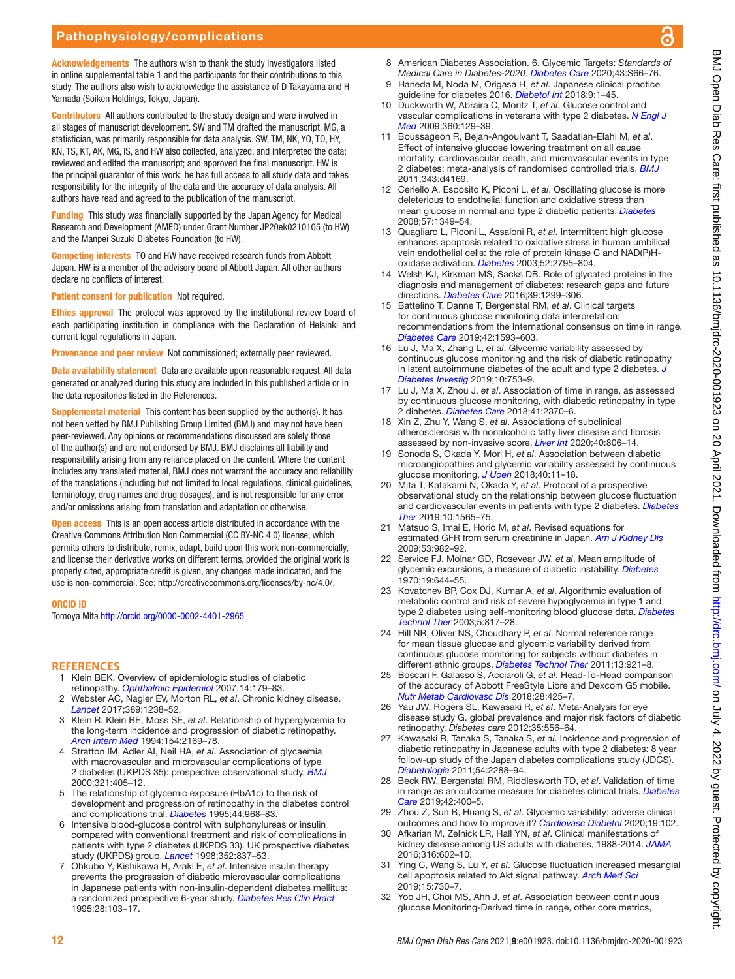Acknowledgements The authors wish to thank the study investigators listed in online supplemental table 1 and the participants for their contributions to this study. The authors also wish to acknowledge the assistance of D Takayama and H Yamada (Soiken Holdings, Tokyo, Japan).

Contributors All authors contributed to the study design and were involved in all stages of manuscript development. SW and TM drafted the manuscript. MG, a statistician, was primarily responsible for data analysis. SW, TM, NK, YO, TO, HY, KN, TS, KT, AK, MG, IS, and HW also collected, analyzed, and interpreted the data; reviewed and edited the manuscript; and approved the final manuscript. HW is the principal guarantor of this work; he has full access to all study data and takes responsibility for the integrity of the data and the accuracy of data analysis. All authors have read and agreed to the publication of the manuscript.

Funding This study was financially supported by the Japan Agency for Medical Research and Development (AMED) under Grant Number JP20ek0210105 (to HW) and the Manpei Suzuki Diabetes Foundation (to HW).

Competing interests TO and HW have received research funds from Abbott Japan. HW is a member of the advisory board of Abbott Japan. All other authors declare no conflicts of interest.

Patient consent for publication Not required.

Ethics approval The protocol was approved by the institutional review board of each participating institution in compliance with the Declaration of Helsinki and current legal regulations in Japan.

Provenance and peer review Not commissioned; externally peer reviewed.

Data availability statement Data are available upon reasonable request. All data generated or analyzed during this study are included in this published article or in the data repositories listed in the References.

Supplemental material This content has been supplied by the author(s). It has not been vetted by BMJ Publishing Group Limited (BMJ) and may not have been peer-reviewed. Any opinions or recommendations discussed are solely those of the author(s) and are not endorsed by BMJ. BMJ disclaims all liability and responsibility arising from any reliance placed on the content. Where the content includes any translated material, BMJ does not warrant the accuracy and reliability of the translations (including but not limited to local regulations, clinical guidelines, terminology, drug names and drug dosages), and is not responsible for any error and/or omissions arising from translation and adaptation or otherwise.

**Open access** This is an open access article distributed in accordance with the Creative Commons Attribution Non Commercial (CC BY-NC 4.0) license, which permits others to distribute, remix, adapt, build upon this work non-commercially, and license their derivative works on different terms, provided the original work is properly cited, appropriate credit is given, any changes made indicated, and the use is non-commercial. See:<http://creativecommons.org/licenses/by-nc/4.0/>.

#### ORCID iD

Tomoya Mita <http://orcid.org/0000-0002-4401-2965>

#### **REFERENCES**

- <span id="page-11-0"></span>1 Klein BEK. Overview of epidemiologic studies of diabetic retinopathy. *[Ophthalmic Epidemiol](http://dx.doi.org/10.1080/09286580701396720)* 2007;14:179–83.
- <span id="page-11-1"></span>2 Webster AC, Nagler EV, Morton RL, *et al*. Chronic kidney disease. *[Lancet](http://dx.doi.org/10.1016/S0140-6736(16)32064-5)* 2017;389:1238–52.
- <span id="page-11-2"></span>3 Klein R, Klein BE, Moss SE, *et al*. Relationship of hyperglycemia to the long-term incidence and progression of diabetic retinopathy. *[Arch Intern Med](http://dx.doi.org/10.1001/archinte.1994.00420190068008)* 1994;154:2169–78.
- <span id="page-11-3"></span>4 Stratton IM, Adler AI, Neil HA, *et al*. Association of glycaemia with macrovascular and microvascular complications of type 2 diabetes (UKPDS 35): prospective observational study. *[BMJ](http://dx.doi.org/10.1136/bmj.321.7258.405)* 2000;321:405–12.
- 5 The relationship of glycemic exposure (HbA1c) to the risk of development and progression of retinopathy in the diabetes control and complications trial. *[Diabetes](http://dx.doi.org/10.2337/diab.44.8.968)* 1995;44:968–83.
- <span id="page-11-4"></span>6 Intensive blood-glucose control with sulphonylureas or insulin compared with conventional treatment and risk of complications in patients with type 2 diabetes (UKPDS 33). UK prospective diabetes study (UKPDS) group. *[Lancet](http://dx.doi.org/10.1016/S0140-6736(98)07019-6)* 1998;352:837–53.
- 7 Ohkubo Y, Kishikawa H, Araki E, *et al*. Intensive insulin therapy prevents the progression of diabetic microvascular complications in Japanese patients with non-insulin-dependent diabetes mellitus: a randomized prospective 6-year study. *[Diabetes Res Clin Pract](http://dx.doi.org/10.1016/0168-8227(95)01064-K)* 1995;28:103–17.
- <span id="page-11-5"></span>8 American Diabetes Association. 6. Glycemic Targets: *Standards of Medical Care in Diabetes-2020*. *[Diabetes Care](http://dx.doi.org/10.2337/dc20-S006)* 2020;43:S66–76.
- 9 Haneda M, Noda M, Origasa H, *et al*. Japanese clinical practice guideline for diabetes 2016. *[Diabetol Int](http://dx.doi.org/10.1007/s13340-018-0345-3)* 2018;9:1–45.
- <span id="page-11-6"></span>10 Duckworth W, Abraira C, Moritz T, *et al*. Glucose control and vascular complications in veterans with type 2 diabetes. *[N Engl J](http://dx.doi.org/10.1056/NEJMoa0808431)  [Med](http://dx.doi.org/10.1056/NEJMoa0808431)* 2009;360:129–39.
- <span id="page-11-7"></span>11 Boussageon R, Bejan-Angoulvant T, Saadatian-Elahi M, *et al*. Effect of intensive glucose lowering treatment on all cause mortality, cardiovascular death, and microvascular events in type 2 diabetes: meta-analysis of randomised controlled trials. *[BMJ](http://dx.doi.org/10.1136/bmj.d4169)* 2011;343:d4169.
- 12 Ceriello A, Esposito K, Piconi L, *et al*. Oscillating glucose is more deleterious to endothelial function and oxidative stress than mean glucose in normal and type 2 diabetic patients. *[Diabetes](http://dx.doi.org/10.2337/db08-0063)* 2008;57:1349–54.
- 13 Quagliaro L, Piconi L, Assaloni R, *et al*. Intermittent high glucose enhances apoptosis related to oxidative stress in human umbilical vein endothelial cells: the role of protein kinase C and NAD(P)Hoxidase activation. *[Diabetes](http://dx.doi.org/10.2337/diabetes.52.11.2795)* 2003;52:2795–804.
- <span id="page-11-8"></span>14 Welsh KJ, Kirkman MS, Sacks DB. Role of glycated proteins in the diagnosis and management of diabetes: research gaps and future directions. *[Diabetes Care](http://dx.doi.org/10.2337/dc15-2727)* 2016;39:1299–306.
- <span id="page-11-9"></span>15 Battelino T, Danne T, Bergenstal RM, *et al*. Clinical targets for continuous glucose monitoring data interpretation: recommendations from the International consensus on time in range. *[Diabetes Care](http://dx.doi.org/10.2337/dci19-0028)* 2019;42:1593–603.
- <span id="page-11-10"></span>16 Lu J, Ma X, Zhang L, *et al*. Glycemic variability assessed by continuous glucose monitoring and the risk of diabetic retinopathy in latent autoimmune diabetes of the adult and type 2 diabetes. *[J](http://dx.doi.org/10.1111/jdi.12957)  [Diabetes Investig](http://dx.doi.org/10.1111/jdi.12957)* 2019;10:753–9.
- <span id="page-11-22"></span>17 Lu J, Ma X, Zhou J, *et al*. Association of time in range, as assessed by continuous glucose monitoring, with diabetic retinopathy in type 2 diabetes. *[Diabetes Care](http://dx.doi.org/10.2337/dc18-1131)* 2018;41:2370–6.
- <span id="page-11-11"></span>18 Xin Z, Zhu Y, Wang S, *et al*. Associations of subclinical atherosclerosis with nonalcoholic fatty liver disease and fibrosis assessed by non-invasive score. *[Liver Int](http://dx.doi.org/10.1111/liv.14322)* 2020;40:806–14.
- <span id="page-11-12"></span>19 Sonoda S, Okada Y, Mori H, *et al*. Association between diabetic microangiopathies and glycemic variability assessed by continuous glucose monitoring. *[J Uoeh](http://dx.doi.org/10.7888/juoeh.40.11)* 2018;40:11–18.
- <span id="page-11-13"></span>20 Mita T, Katakami N, Okada Y, *et al*. Protocol of a prospective observational study on the relationship between glucose fluctuation and cardiovascular events in patients with type 2 diabetes. *[Diabetes](http://dx.doi.org/10.1007/s13300-019-0665-8)  [Ther](http://dx.doi.org/10.1007/s13300-019-0665-8)* 2019;10:1565–75.
- <span id="page-11-14"></span>21 Matsuo S, Imai E, Horio M, *et al*. Revised equations for estimated GFR from serum creatinine in Japan. *[Am J Kidney Dis](http://dx.doi.org/10.1053/j.ajkd.2008.12.034)* 2009;53:982–92.
- <span id="page-11-15"></span>22 Service FJ, Molnar GD, Rosevear JW, *et al*. Mean amplitude of glycemic excursions, a measure of diabetic instability. *[Diabetes](http://dx.doi.org/10.2337/diab.19.9.644)* 1970;19:644–55.
- <span id="page-11-16"></span>23 Kovatchev BP, Cox DJ, Kumar A, *et al*. Algorithmic evaluation of metabolic control and risk of severe hypoglycemia in type 1 and type 2 diabetes using self-monitoring blood glucose data. *[Diabetes](http://dx.doi.org/10.1089/152091503322527021)  [Technol Ther](http://dx.doi.org/10.1089/152091503322527021)* 2003;5:817–28.
- <span id="page-11-17"></span>24 Hill NR, Oliver NS, Choudhary P, *et al*. Normal reference range for mean tissue glucose and glycemic variability derived from continuous glucose monitoring for subjects without diabetes in different ethnic groups. *[Diabetes Technol Ther](http://dx.doi.org/10.1089/dia.2010.0247)* 2011;13:921–8.
- <span id="page-11-18"></span>25 Boscari F, Galasso S, Acciaroli G, *et al*. Head-To-Head comparison of the accuracy of Abbott FreeStyle Libre and Dexcom G5 mobile. *[Nutr Metab Cardiovasc Dis](http://dx.doi.org/10.1016/j.numecd.2018.01.003)* 2018;28:425–7.
- <span id="page-11-19"></span>26 Yau JW, Rogers SL, Kawasaki R, *et al*. Meta-Analysis for eye disease study G. global prevalence and major risk factors of diabetic retinopathy. *Diabetes care* 2012;35:556–64.
- <span id="page-11-20"></span>27 Kawasaki R, Tanaka S, Tanaka S, *et al*. Incidence and progression of diabetic retinopathy in Japanese adults with type 2 diabetes: 8 year follow-up study of the Japan diabetes complications study (JDCS). *[Diabetologia](http://dx.doi.org/10.1007/s00125-011-2199-0)* 2011;54:2288–94.
- <span id="page-11-21"></span>28 Beck RW, Bergenstal RM, Riddlesworth TD, *et al*. Validation of time in range as an outcome measure for diabetes clinical trials. *[Diabetes](http://dx.doi.org/10.2337/dc18-1444)  [Care](http://dx.doi.org/10.2337/dc18-1444)* 2019;42:400–5.
- <span id="page-11-23"></span>29 Zhou Z, Sun B, Huang S, *et al*. Glycemic variability: adverse clinical outcomes and how to improve it? *[Cardiovasc Diabetol](http://dx.doi.org/10.1186/s12933-020-01085-6)* 2020;19:102.
- <span id="page-11-24"></span>30 Afkarian M, Zelnick LR, Hall YN, *et al*. Clinical manifestations of kidney disease among US adults with diabetes, 1988-2014. *[JAMA](http://dx.doi.org/10.1001/jama.2016.10924)* 2016;316:602–10.
- <span id="page-11-25"></span>31 Ying C, Wang S, Lu Y, *et al*. Glucose fluctuation increased mesangial cell apoptosis related to Akt signal pathway. *[Arch Med Sci](http://dx.doi.org/10.5114/aoms.2019.84739)* 2019;15:730–7.
- <span id="page-11-26"></span>32 Yoo JH, Choi MS, Ahn J, *et al*. Association between continuous glucose Monitoring-Derived time in range, other core metrics,